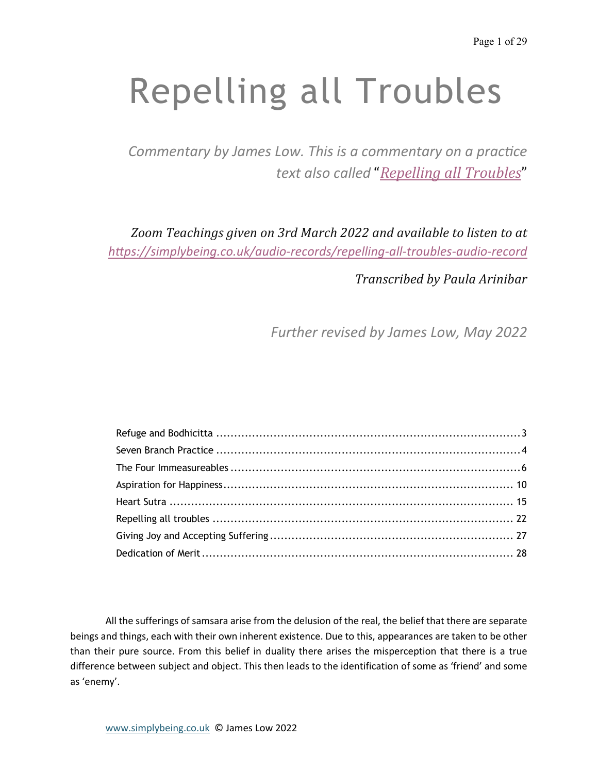# Repelling all Troubles

*Commentary by James Low. This is a commentary on a practice text also called* "*Repelling all Troubles*"

Zoom Teachings given on 3rd March 2022 and available to listen to at *h"ps://simplybeing.co.uk/audio-records/repelling-all-troubles-audio-record*

*Transcribed by Paula Arinibar*

*Further revised by James Low, May 2022*

All the sufferings of samsara arise from the delusion of the real, the belief that there are separate beings and things, each with their own inherent existence. Due to this, appearances are taken to be other than their pure source. From this belief in duality there arises the misperception that there is a true difference between subject and object. This then leads to the identification of some as 'friend' and some as 'enemy'.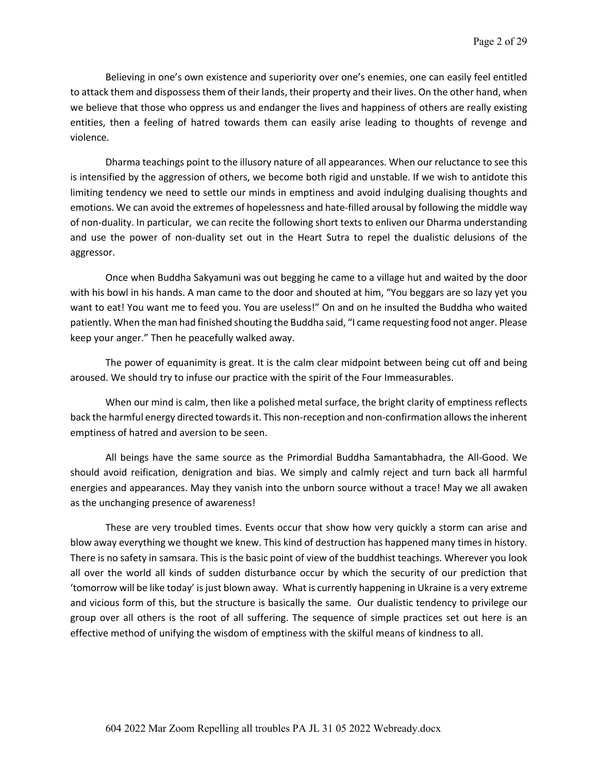Believing in one's own existence and superiority over one's enemies, one can easily feel entitled to attack them and dispossess them of their lands, their property and their lives. On the other hand, when we believe that those who oppress us and endanger the lives and happiness of others are really existing entities, then a feeling of hatred towards them can easily arise leading to thoughts of revenge and violence.

Dharma teachings point to the illusory nature of all appearances. When our reluctance to see this is intensified by the aggression of others, we become both rigid and unstable. If we wish to antidote this limiting tendency we need to settle our minds in emptiness and avoid indulging dualising thoughts and emotions. We can avoid the extremes of hopelessness and hate-filled arousal by following the middle way of non-duality. In particular, we can recite the following short texts to enliven our Dharma understanding and use the power of non-duality set out in the Heart Sutra to repel the dualistic delusions of the aggressor.

Once when Buddha Sakyamuni was out begging he came to a village hut and waited by the door with his bowl in his hands. A man came to the door and shouted at him, "You beggars are so lazy yet you want to eat! You want me to feed you. You are useless!" On and on he insulted the Buddha who waited patiently. When the man had finished shouting the Buddha said, "I came requesting food not anger. Please keep your anger." Then he peacefully walked away.

The power of equanimity is great. It is the calm clear midpoint between being cut off and being aroused. We should try to infuse our practice with the spirit of the Four Immeasurables.

When our mind is calm, then like a polished metal surface, the bright clarity of emptiness reflects back the harmful energy directed towards it. This non-reception and non-confirmation allows the inherent emptiness of hatred and aversion to be seen.

All beings have the same source as the Primordial Buddha Samantabhadra, the All-Good. We should avoid reification, denigration and bias. We simply and calmly reject and turn back all harmful energies and appearances. May they vanish into the unborn source without a trace! May we all awaken as the unchanging presence of awareness!

These are very troubled times. Events occur that show how very quickly a storm can arise and blow away everything we thought we knew. This kind of destruction has happened many times in history. There is no safety in samsara. This is the basic point of view of the buddhist teachings. Wherever you look all over the world all kinds of sudden disturbance occur by which the security of our prediction that 'tomorrow will be like today' is just blown away. What is currently happening in Ukraine is a very extreme and vicious form of this, but the structure is basically the same. Our dualistic tendency to privilege our group over all others is the root of all suffering. The sequence of simple practices set out here is an effective method of unifying the wisdom of emptiness with the skilful means of kindness to all.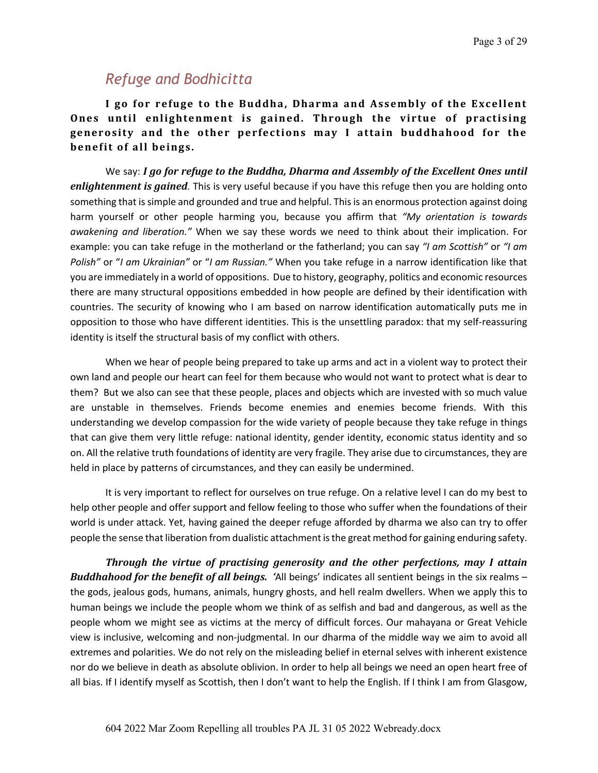# *Refuge and Bodhicitta*

I go for refuge to the Buddha, Dharma and Assembly of the Excellent **Ones** until enlightenment is gained. Through the virtue of practising generosity and the other perfections may I attain buddhahood for the benefit of all beings.

We say: *I go for refuge to the Buddha, Dharma and Assembly of the Excellent Ones until enlightenment is gained*. This is very useful because if you have this refuge then you are holding onto something that is simple and grounded and true and helpful. This is an enormous protection against doing harm yourself or other people harming you, because you affirm that *"My orientation is towards awakening and liberation."* When we say these words we need to think about their implication. For example: you can take refuge in the motherland or the fatherland; you can say *"I am Scottish"* or *"I am Polish"* or "*I am Ukrainian"* or "*I am Russian."* When you take refuge in a narrow identification like that you are immediately in a world of oppositions. Due to history, geography, politics and economic resources there are many structural oppositions embedded in how people are defined by their identification with countries. The security of knowing who I am based on narrow identification automatically puts me in opposition to those who have different identities. This is the unsettling paradox: that my self-reassuring identity is itself the structural basis of my conflict with others.

When we hear of people being prepared to take up arms and act in a violent way to protect their own land and people our heart can feel for them because who would not want to protect what is dear to them? But we also can see that these people, places and objects which are invested with so much value are unstable in themselves. Friends become enemies and enemies become friends. With this understanding we develop compassion for the wide variety of people because they take refuge in things that can give them very little refuge: national identity, gender identity, economic status identity and so on. All the relative truth foundations of identity are very fragile. They arise due to circumstances, they are held in place by patterns of circumstances, and they can easily be undermined.

It is very important to reflect for ourselves on true refuge. On a relative level I can do my best to help other people and offer support and fellow feeling to those who suffer when the foundations of their world is under attack. Yet, having gained the deeper refuge afforded by dharma we also can try to offer people the sense that liberation from dualistic attachment is the great method for gaining enduring safety.

*Through the virtue of practising generosity and the other perfections, may I attain Buddhahood for the benefit of all beings.* 'All beings' indicates all sentient beings in the six realms – the gods, jealous gods, humans, animals, hungry ghosts, and hell realm dwellers. When we apply this to human beings we include the people whom we think of as selfish and bad and dangerous, as well as the people whom we might see as victims at the mercy of difficult forces. Our mahayana or Great Vehicle view is inclusive, welcoming and non-judgmental. In our dharma of the middle way we aim to avoid all extremes and polarities. We do not rely on the misleading belief in eternal selves with inherent existence nor do we believe in death as absolute oblivion. In order to help all beings we need an open heart free of all bias. If I identify myself as Scottish, then I don't want to help the English. If I think I am from Glasgow,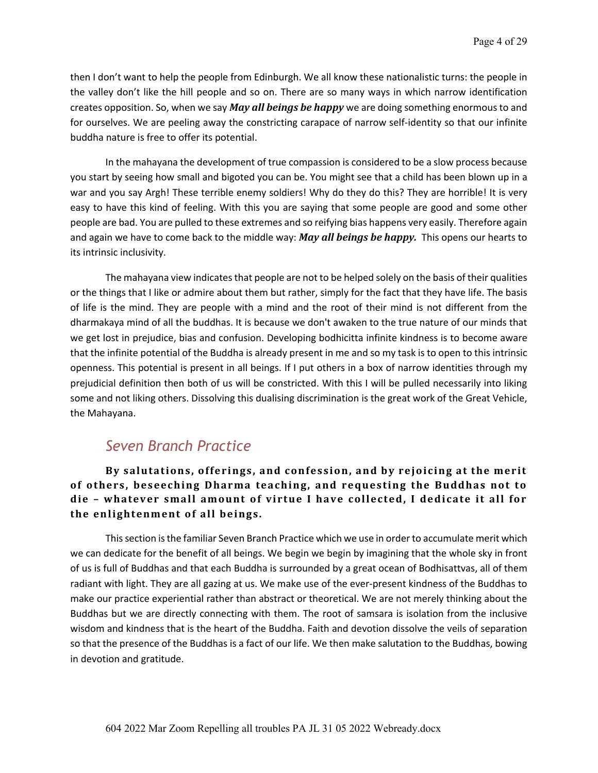then I don't want to help the people from Edinburgh. We all know these nationalistic turns: the people in the valley don't like the hill people and so on. There are so many ways in which narrow identification creates opposition. So, when we say *May all beings be happy* we are doing something enormous to and for ourselves. We are peeling away the constricting carapace of narrow self-identity so that our infinite buddha nature is free to offer its potential.

In the mahayana the development of true compassion is considered to be a slow process because you start by seeing how small and bigoted you can be. You might see that a child has been blown up in a war and you say Argh! These terrible enemy soldiers! Why do they do this? They are horrible! It is very easy to have this kind of feeling. With this you are saying that some people are good and some other people are bad. You are pulled to these extremes and so reifying bias happens very easily. Therefore again and again we have to come back to the middle way: *May all beings be happy.* This opens our hearts to its intrinsic inclusivity.

The mahayana view indicates that people are not to be helped solely on the basis of their qualities or the things that I like or admire about them but rather, simply for the fact that they have life. The basis of life is the mind. They are people with a mind and the root of their mind is not different from the dharmakaya mind of all the buddhas. It is because we don't awaken to the true nature of our minds that we get lost in prejudice, bias and confusion. Developing bodhicitta infinite kindness is to become aware that the infinite potential of the Buddha is already present in me and so my task is to open to this intrinsic openness. This potential is present in all beings. If I put others in a box of narrow identities through my prejudicial definition then both of us will be constricted. With this I will be pulled necessarily into liking some and not liking others. Dissolving this dualising discrimination is the great work of the Great Vehicle, the Mahayana.

# *Seven Branch Practice*

By salutations, offerings, and confession, and by rejoicing at the merit of others, beseeching Dharma teaching, and requesting the Buddhas not to die - whatever small amount of virtue I have collected, I dedicate it all for the enlightenment of all beings.

This section is the familiar Seven Branch Practice which we use in order to accumulate merit which we can dedicate for the benefit of all beings. We begin we begin by imagining that the whole sky in front of us is full of Buddhas and that each Buddha is surrounded by a great ocean of Bodhisattvas, all of them radiant with light. They are all gazing at us. We make use of the ever-present kindness of the Buddhas to make our practice experiential rather than abstract or theoretical. We are not merely thinking about the Buddhas but we are directly connecting with them. The root of samsara is isolation from the inclusive wisdom and kindness that is the heart of the Buddha. Faith and devotion dissolve the veils of separation so that the presence of the Buddhas is a fact of our life. We then make salutation to the Buddhas, bowing in devotion and gratitude.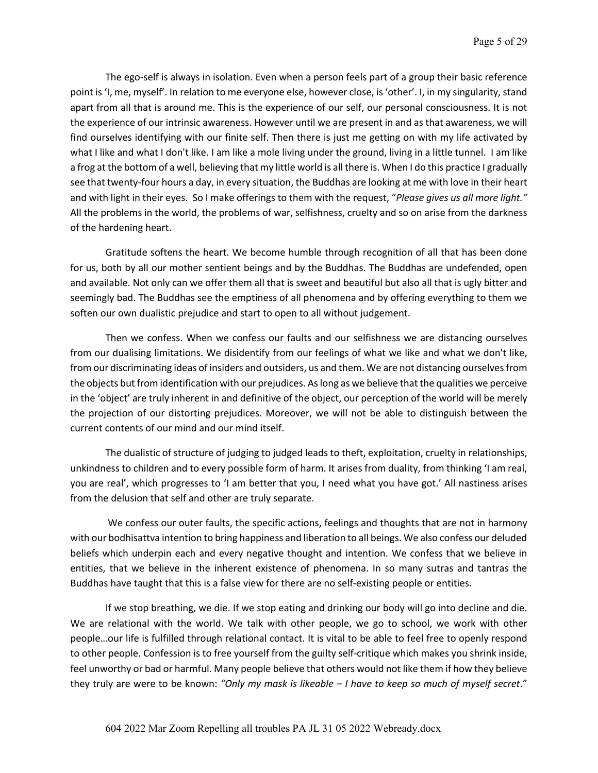The ego-self is always in isolation. Even when a person feels part of a group their basic reference point is 'I, me, myself'. In relation to me everyone else, however close, is 'other'. I, in my singularity, stand apart from all that is around me. This is the experience of our self, our personal consciousness. It is not the experience of our intrinsic awareness. However until we are present in and as that awareness, we will find ourselves identifying with our finite self. Then there is just me getting on with my life activated by what I like and what I don't like. I am like a mole living under the ground, living in a little tunnel. I am like a frog at the bottom of a well, believing that my little world is all there is. When I do this practice I gradually see that twenty-four hours a day, in every situation, the Buddhas are looking at me with love in their heart and with light in their eyes. So I make offerings to them with the request, "*Please gives us all more light."* All the problems in the world, the problems of war, selfishness, cruelty and so on arise from the darkness of the hardening heart.

Gratitude softens the heart. We become humble through recognition of all that has been done for us, both by all our mother sentient beings and by the Buddhas. The Buddhas are undefended, open and available. Not only can we offer them all that is sweet and beautiful but also all that is ugly bitter and seemingly bad. The Buddhas see the emptiness of all phenomena and by offering everything to them we soften our own dualistic prejudice and start to open to all without judgement.

Then we confess. When we confess our faults and our selfishness we are distancing ourselves from our dualising limitations. We disidentify from our feelings of what we like and what we don't like, from our discriminating ideas of insiders and outsiders, us and them. We are not distancing ourselves from the objects but from identification with our prejudices. As long as we believe that the qualities we perceive in the 'object' are truly inherent in and definitive of the object, our perception of the world will be merely the projection of our distorting prejudices. Moreover, we will not be able to distinguish between the current contents of our mind and our mind itself.

The dualistic of structure of judging to judged leads to theft, exploitation, cruelty in relationships, unkindness to children and to every possible form of harm. It arises from duality, from thinking 'I am real, you are real', which progresses to 'I am better that you, I need what you have got.' All nastiness arises from the delusion that self and other are truly separate.

We confess our outer faults, the specific actions, feelings and thoughts that are not in harmony with our bodhisattva intention to bring happiness and liberation to all beings. We also confess our deluded beliefs which underpin each and every negative thought and intention. We confess that we believe in entities, that we believe in the inherent existence of phenomena. In so many sutras and tantras the Buddhas have taught that this is a false view for there are no self-existing people or entities.

If we stop breathing, we die. If we stop eating and drinking our body will go into decline and die. We are relational with the world. We talk with other people, we go to school, we work with other people…our life is fulfilled through relational contact. It is vital to be able to feel free to openly respond to other people. Confession is to free yourself from the guilty self-critique which makes you shrink inside, feel unworthy or bad or harmful. Many people believe that others would not like them if how they believe they truly are were to be known: *"Only my mask is likeable – I have to keep so much of myself secret*."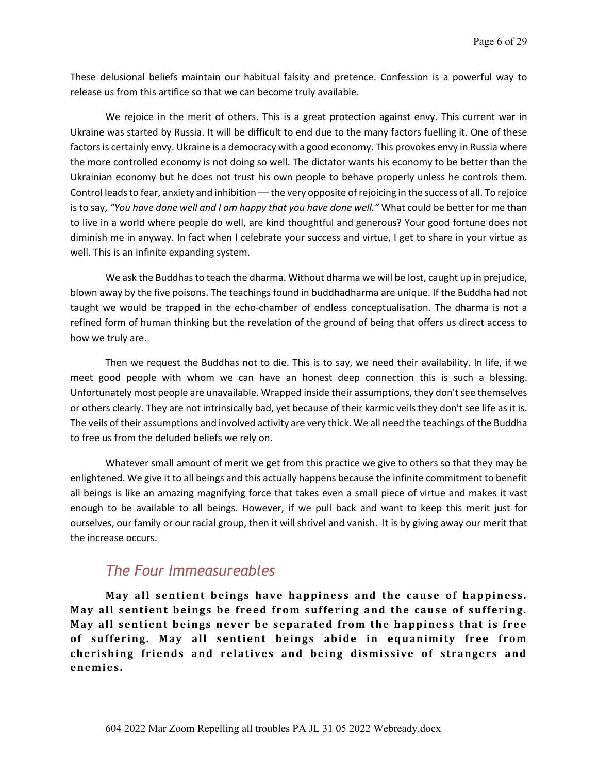These delusional beliefs maintain our habitual falsity and pretence. Confession is a powerful way to release us from this artifice so that we can become truly available.

We rejoice in the merit of others. This is a great protection against envy. This current war in Ukraine was started by Russia. It will be difficult to end due to the many factors fuelling it. One of these factors is certainly envy. Ukraine is a democracy with a good economy. This provokes envy in Russia where the more controlled economy is not doing so well. The dictator wants his economy to be better than the Ukrainian economy but he does not trust his own people to behave properly unless he controls them. Control leads to fear, anxiety and inhibition — the very opposite of rejoicing in the success of all. To rejoice is to say, *"You have done well and I am happy that you have done well."* What could be better for me than to live in a world where people do well, are kind thoughtful and generous? Your good fortune does not diminish me in anyway. In fact when I celebrate your success and virtue, I get to share in your virtue as well. This is an infinite expanding system.

We ask the Buddhas to teach the dharma. Without dharma we will be lost, caught up in prejudice, blown away by the five poisons. The teachings found in buddhadharma are unique. If the Buddha had not taught we would be trapped in the echo-chamber of endless conceptualisation. The dharma is not a refined form of human thinking but the revelation of the ground of being that offers us direct access to how we truly are.

Then we request the Buddhas not to die. This is to say, we need their availability. In life, if we meet good people with whom we can have an honest deep connection this is such a blessing. Unfortunately most people are unavailable. Wrapped inside their assumptions, they don't see themselves or others clearly. They are not intrinsically bad, yet because of their karmic veils they don't see life as it is. The veils of their assumptions and involved activity are very thick. We all need the teachings of the Buddha to free us from the deluded beliefs we rely on.

Whatever small amount of merit we get from this practice we give to others so that they may be enlightened. We give it to all beings and this actually happens because the infinite commitment to benefit all beings is like an amazing magnifying force that takes even a small piece of virtue and makes it vast enough to be available to all beings. However, if we pull back and want to keep this merit just for ourselves, our family or our racial group, then it will shrivel and vanish. It is by giving away our merit that the increase occurs.

## *The Four Immeasureables*

May all sentient beings have happiness and the cause of happiness. May all sentient beings be freed from suffering and the cause of suffering. **May all sentient beings never be separated from the happiness that is free** of suffering. May all sentient beings abide in equanimity free from cherishing friends and relatives and being dismissive of strangers and **enemies.**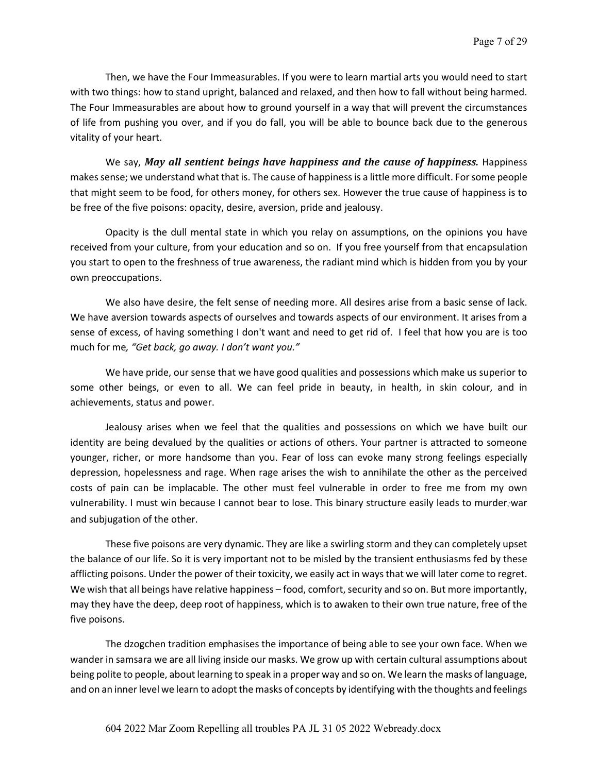Then, we have the Four Immeasurables. If you were to learn martial arts you would need to start with two things: how to stand upright, balanced and relaxed, and then how to fall without being harmed. The Four Immeasurables are about how to ground yourself in a way that will prevent the circumstances of life from pushing you over, and if you do fall, you will be able to bounce back due to the generous vitality of your heart.

We say, *May all sentient beings have happiness and the cause of happiness.* Happiness makes sense; we understand what that is. The cause of happiness is a little more difficult. For some people that might seem to be food, for others money, for others sex. However the true cause of happiness is to be free of the five poisons: opacity, desire, aversion, pride and jealousy.

Opacity is the dull mental state in which you relay on assumptions, on the opinions you have received from your culture, from your education and so on. If you free yourself from that encapsulation you start to open to the freshness of true awareness, the radiant mind which is hidden from you by your own preoccupations.

We also have desire, the felt sense of needing more. All desires arise from a basic sense of lack. We have aversion towards aspects of ourselves and towards aspects of our environment. It arises from a sense of excess, of having something I don't want and need to get rid of. I feel that how you are is too much for me*, "Get back, go away. I don't want you."*

We have pride, our sense that we have good qualities and possessions which make us superior to some other beings, or even to all. We can feel pride in beauty, in health, in skin colour, and in achievements, status and power.

Jealousy arises when we feel that the qualities and possessions on which we have built our identity are being devalued by the qualities or actions of others. Your partner is attracted to someone younger, richer, or more handsome than you. Fear of loss can evoke many strong feelings especially depression, hopelessness and rage. When rage arises the wish to annihilate the other as the perceived costs of pain can be implacable. The other must feel vulnerable in order to free me from my own vulnerability. I must win because I cannot bear to lose. This binary structure easily leads to murder, war and subjugation of the other.

These five poisons are very dynamic. They are like a swirling storm and they can completely upset the balance of our life. So it is very important not to be misled by the transient enthusiasms fed by these afflicting poisons. Under the power of their toxicity, we easily act in ways that we will later come to regret. We wish that all beings have relative happiness – food, comfort, security and so on. But more importantly, may they have the deep, deep root of happiness, which is to awaken to their own true nature, free of the five poisons.

The dzogchen tradition emphasises the importance of being able to see your own face. When we wander in samsara we are all living inside our masks. We grow up with certain cultural assumptions about being polite to people, about learning to speak in a proper way and so on. We learn the masks of language, and on an inner level we learn to adopt the masks of concepts by identifying with the thoughts and feelings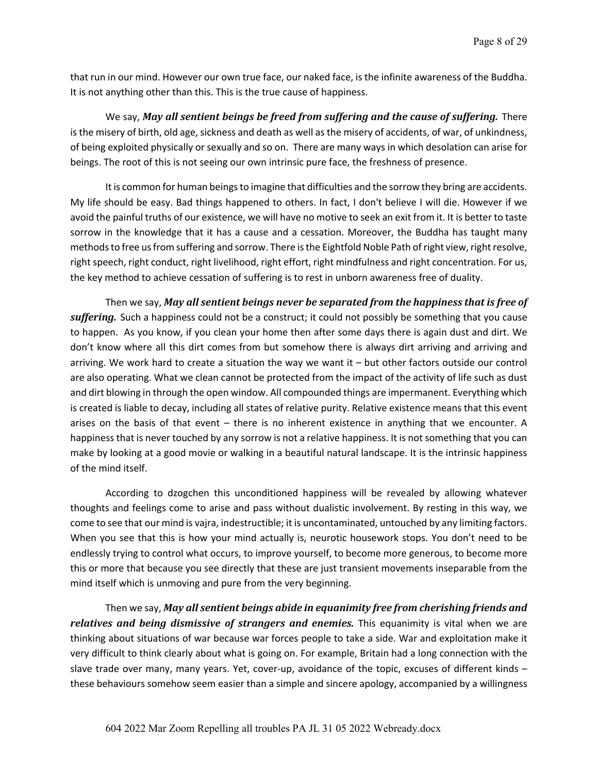that run in our mind. However our own true face, our naked face, is the infinite awareness of the Buddha. It is not anything other than this. This is the true cause of happiness.

We say, May all sentient beings be freed from suffering and the cause of suffering. There is the misery of birth, old age, sickness and death as well as the misery of accidents, of war, of unkindness, of being exploited physically or sexually and so on. There are many ways in which desolation can arise for beings. The root of this is not seeing our own intrinsic pure face, the freshness of presence.

It is common for human beings to imagine that difficulties and the sorrow they bring are accidents. My life should be easy. Bad things happened to others. In fact, I don't believe I will die. However if we avoid the painful truths of our existence, we will have no motive to seek an exit from it. It is better to taste sorrow in the knowledge that it has a cause and a cessation. Moreover, the Buddha has taught many methods to free us from suffering and sorrow. There is the Eightfold Noble Path of right view, right resolve, right speech, right conduct, right livelihood, right effort, right mindfulness and right concentration. For us, the key method to achieve cessation of suffering is to rest in unborn awareness free of duality.

Then we say, May all sentient beings never be separated from the happiness that is free of *suffering.* Such a happiness could not be a construct; it could not possibly be something that you cause to happen. As you know, if you clean your home then after some days there is again dust and dirt. We don't know where all this dirt comes from but somehow there is always dirt arriving and arriving and arriving. We work hard to create a situation the way we want it – but other factors outside our control are also operating. What we clean cannot be protected from the impact of the activity of life such as dust and dirt blowing in through the open window. All compounded things are impermanent. Everything which is created is liable to decay, including all states of relative purity. Relative existence means that this event arises on the basis of that event – there is no inherent existence in anything that we encounter. A happiness that is never touched by any sorrow is not a relative happiness. It is not something that you can make by looking at a good movie or walking in a beautiful natural landscape. It is the intrinsic happiness of the mind itself.

According to dzogchen this unconditioned happiness will be revealed by allowing whatever thoughts and feelings come to arise and pass without dualistic involvement. By resting in this way, we come to see that our mind is vajra, indestructible; it is uncontaminated, untouched by any limiting factors. When you see that this is how your mind actually is, neurotic housework stops. You don't need to be endlessly trying to control what occurs, to improve yourself, to become more generous, to become more this or more that because you see directly that these are just transient movements inseparable from the mind itself which is unmoving and pure from the very beginning.

Then we say, *May all sentient beings abide in equanimity free from cherishing friends and relatives and being dismissive of strangers and enemies.* This equanimity is vital when we are thinking about situations of war because war forces people to take a side. War and exploitation make it very difficult to think clearly about what is going on. For example, Britain had a long connection with the slave trade over many, many years. Yet, cover-up, avoidance of the topic, excuses of different kinds – these behaviours somehow seem easier than a simple and sincere apology, accompanied by a willingness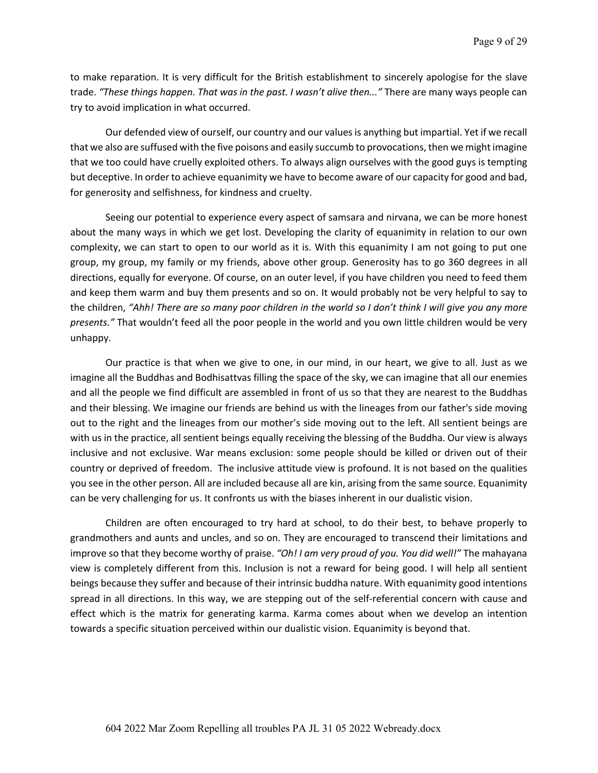to make reparation. It is very difficult for the British establishment to sincerely apologise for the slave trade. *"These things happen. That was in the past. I wasn't alive then..."* There are many ways people can try to avoid implication in what occurred.

Our defended view of ourself, our country and our values is anything but impartial. Yet if we recall that we also are suffused with the five poisons and easily succumb to provocations, then we might imagine that we too could have cruelly exploited others. To always align ourselves with the good guys is tempting but deceptive. In order to achieve equanimity we have to become aware of our capacity for good and bad, for generosity and selfishness, for kindness and cruelty.

Seeing our potential to experience every aspect of samsara and nirvana, we can be more honest about the many ways in which we get lost. Developing the clarity of equanimity in relation to our own complexity, we can start to open to our world as it is. With this equanimity I am not going to put one group, my group, my family or my friends, above other group. Generosity has to go 360 degrees in all directions, equally for everyone. Of course, on an outer level, if you have children you need to feed them and keep them warm and buy them presents and so on. It would probably not be very helpful to say to the children, *"Ahh! There are so many poor children in the world so I don't think I will give you any more presents."* That wouldn't feed all the poor people in the world and you own little children would be very unhappy.

Our practice is that when we give to one, in our mind, in our heart, we give to all. Just as we imagine all the Buddhas and Bodhisattvas filling the space of the sky, we can imagine that all our enemies and all the people we find difficult are assembled in front of us so that they are nearest to the Buddhas and their blessing. We imagine our friends are behind us with the lineages from our father's side moving out to the right and the lineages from our mother's side moving out to the left. All sentient beings are with us in the practice, all sentient beings equally receiving the blessing of the Buddha. Our view is always inclusive and not exclusive. War means exclusion: some people should be killed or driven out of their country or deprived of freedom. The inclusive attitude view is profound. It is not based on the qualities you see in the other person. All are included because all are kin, arising from the same source. Equanimity can be very challenging for us. It confronts us with the biases inherent in our dualistic vision.

Children are often encouraged to try hard at school, to do their best, to behave properly to grandmothers and aunts and uncles, and so on. They are encouraged to transcend their limitations and improve so that they become worthy of praise. *"Oh! I am very proud of you. You did well!"* The mahayana view is completely different from this. Inclusion is not a reward for being good. I will help all sentient beings because they suffer and because of their intrinsic buddha nature. With equanimity good intentions spread in all directions. In this way, we are stepping out of the self-referential concern with cause and effect which is the matrix for generating karma. Karma comes about when we develop an intention towards a specific situation perceived within our dualistic vision. Equanimity is beyond that.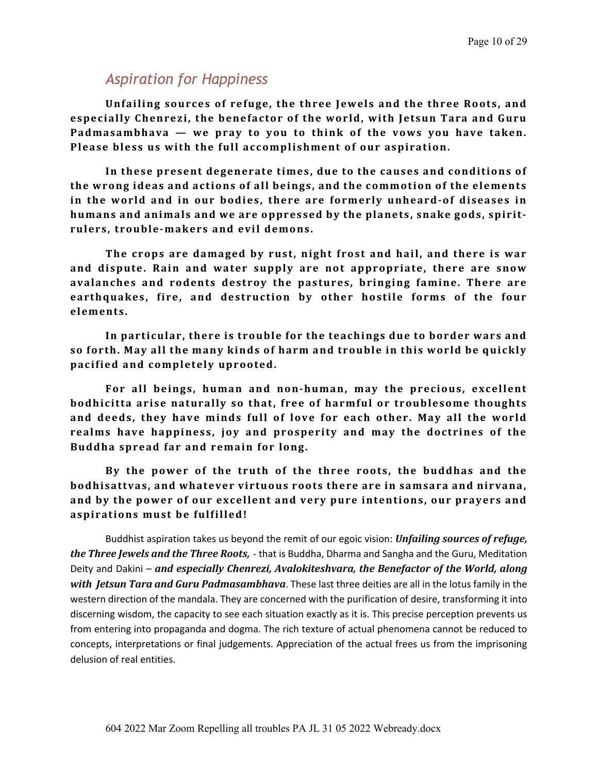# *Aspiration for Happiness*

Unfailing sources of refuge, the three Jewels and the three Roots, and especially Chenrezi, the benefactor of the world, with Jetsun Tara and Guru Padmasambhava — we pray to you to think of the vows you have taken. Please bless us with the full accomplishment of our aspiration.

In these present degenerate times, due to the causes and conditions of the wrong ideas and actions of all beings, and the commotion of the elements in the world and in our bodies, there are formerly unheard-of diseases in humans and animals and we are oppressed by the planets, snake gods, spirit**rulers, trouble-makers and evil demons.**

The crops are damaged by rust, night frost and hail, and there is war and dispute. Rain and water supply are not appropriate, there are snow avalanches and rodents destroy the pastures, bringing famine. There are earthquakes, fire, and destruction by other hostile forms of the four **elements.**

In particular, there is trouble for the teachings due to border wars and so forth. May all the many kinds of harm and trouble in this world be quickly **pacified and completely uprooted.**

For all beings, human and non-human, may the precious, excellent **bodhicitta arise naturally so that, free of harmful or troublesome thoughts** and deeds, they have minds full of love for each other. May all the world realms have happiness, joy and prosperity and may the doctrines of the **Buddha spread far and remain for long.**

By the power of the truth of the three roots, the buddhas and the **bodhisattvas, and whatever virtuous roots there are in samsara and nirvana,** and by the power of our excellent and very pure intentions, our prayers and **aspirations must be fulfilled!**

Buddhist aspiration takes us beyond the remit of our egoic vision: *Unfailing sources of refuge, the Three Jewels and the Three Roots*, - that is Buddha, Dharma and Sangha and the Guru, Meditation Deity and Dakini – and especially Chenrezi, Avalokiteshvara, the Benefactor of the World, along **with** *Jetsun Tara and Guru Padmasambhava*. These last three deities are all in the lotus family in the western direction of the mandala. They are concerned with the purification of desire, transforming it into discerning wisdom, the capacity to see each situation exactly as it is. This precise perception prevents us from entering into propaganda and dogma. The rich texture of actual phenomena cannot be reduced to concepts, interpretations or final judgements. Appreciation of the actual frees us from the imprisoning delusion of real entities.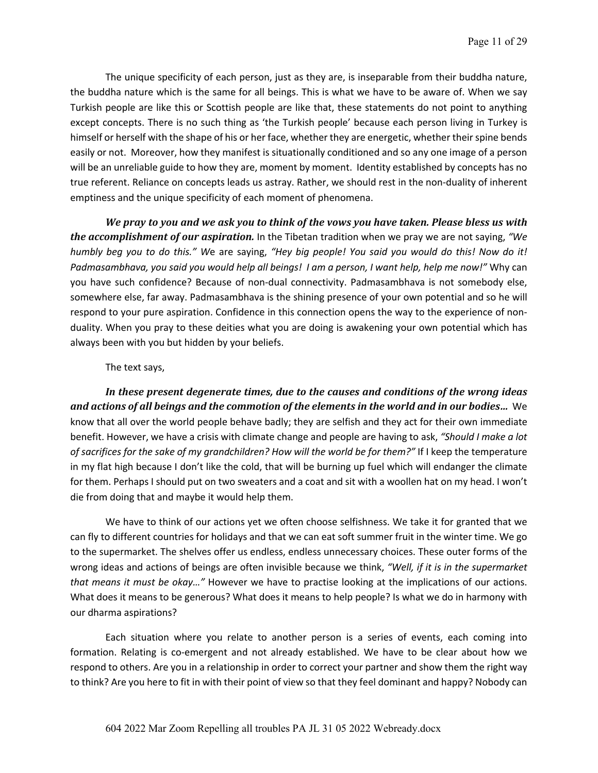The unique specificity of each person, just as they are, is inseparable from their buddha nature, the buddha nature which is the same for all beings. This is what we have to be aware of. When we say Turkish people are like this or Scottish people are like that, these statements do not point to anything except concepts. There is no such thing as 'the Turkish people' because each person living in Turkey is himself or herself with the shape of his or her face, whether they are energetic, whether their spine bends easily or not. Moreover, how they manifest is situationally conditioned and so any one image of a person will be an unreliable guide to how they are, moment by moment. Identity established by concepts has no true referent. Reliance on concepts leads us astray. Rather, we should rest in the non-duality of inherent emptiness and the unique specificity of each moment of phenomena.

We pray to you and we ask you to think of the vows you have taken. Please bless us with *the accomplishment of our aspiration.* In the Tibetan tradition when we pray we are not saying, "We *humbly beg you to do this." W*e are saying, *"Hey big people! You said you would do this! Now do it! Padmasambhava, you said you would help all beings! I am a person, I want help, help me now!"* Why can you have such confidence? Because of non-dual connectivity. Padmasambhava is not somebody else, somewhere else, far away. Padmasambhava is the shining presence of your own potential and so he will respond to your pure aspiration. Confidence in this connection opens the way to the experience of nonduality. When you pray to these deities what you are doing is awakening your own potential which has always been with you but hidden by your beliefs.

#### The text says,

In these present degenerate times, due to the causes and conditions of the wrong ideas and actions of all beings and the commotion of the elements in the world and in our bodies... We know that all over the world people behave badly; they are selfish and they act for their own immediate benefit. However, we have a crisis with climate change and people are having to ask, *"Should I make a lot of sacrifices for the sake of my grandchildren? How will the world be for them?"* If I keep the temperature in my flat high because I don't like the cold, that will be burning up fuel which will endanger the climate for them. Perhaps I should put on two sweaters and a coat and sit with a woollen hat on my head. I won't die from doing that and maybe it would help them.

We have to think of our actions yet we often choose selfishness. We take it for granted that we can fly to different countries for holidays and that we can eat soft summer fruit in the winter time. We go to the supermarket. The shelves offer us endless, endless unnecessary choices. These outer forms of the wrong ideas and actions of beings are often invisible because we think, *"Well, if it is in the supermarket that means it must be okay…"* However we have to practise looking at the implications of our actions. What does it means to be generous? What does it means to help people? Is what we do in harmony with our dharma aspirations?

Each situation where you relate to another person is a series of events, each coming into formation. Relating is co-emergent and not already established. We have to be clear about how we respond to others. Are you in a relationship in order to correct your partner and show them the right way to think? Are you here to fit in with their point of view so that they feel dominant and happy? Nobody can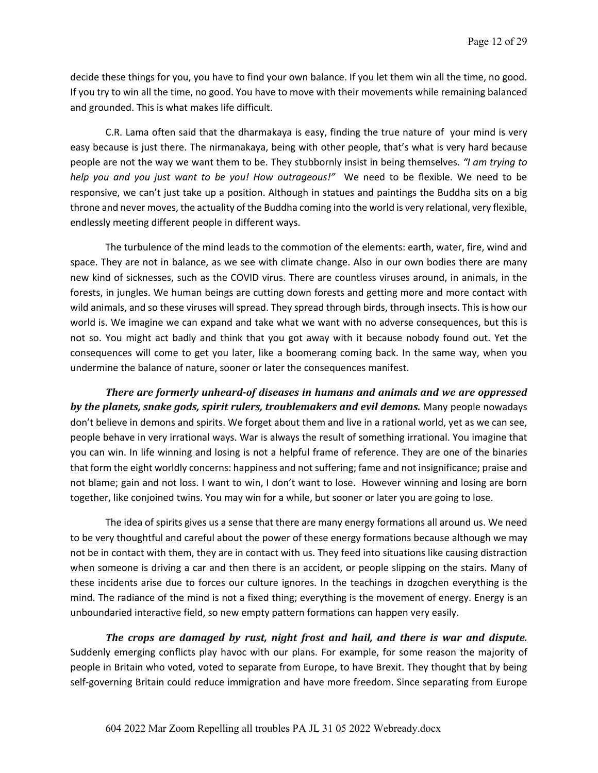decide these things for you, you have to find your own balance. If you let them win all the time, no good. If you try to win all the time, no good. You have to move with their movements while remaining balanced and grounded. This is what makes life difficult.

C.R. Lama often said that the dharmakaya is easy, finding the true nature of your mind is very easy because is just there. The nirmanakaya, being with other people, that's what is very hard because people are not the way we want them to be. They stubbornly insist in being themselves. *"I am trying to help you and you just want to be you! How outrageous!"* We need to be flexible. We need to be responsive, we can't just take up a position. Although in statues and paintings the Buddha sits on a big throne and never moves, the actuality of the Buddha coming into the world is very relational, very flexible, endlessly meeting different people in different ways.

The turbulence of the mind leads to the commotion of the elements: earth, water, fire, wind and space. They are not in balance, as we see with climate change. Also in our own bodies there are many new kind of sicknesses, such as the COVID virus. There are countless viruses around, in animals, in the forests, in jungles. We human beings are cutting down forests and getting more and more contact with wild animals, and so these viruses will spread. They spread through birds, through insects. This is how our world is. We imagine we can expand and take what we want with no adverse consequences, but this is not so. You might act badly and think that you got away with it because nobody found out. Yet the consequences will come to get you later, like a boomerang coming back. In the same way, when you undermine the balance of nature, sooner or later the consequences manifest.

*There are formerly unheard-of diseases in humans and animals and we are oppressed* by the planets, snake gods, spirit rulers, troublemakers and evil demons. Many people nowadays don't believe in demons and spirits. We forget about them and live in a rational world, yet as we can see, people behave in very irrational ways. War is always the result of something irrational. You imagine that you can win. In life winning and losing is not a helpful frame of reference. They are one of the binaries that form the eight worldly concerns: happiness and not suffering; fame and not insignificance; praise and not blame; gain and not loss. I want to win, I don't want to lose. However winning and losing are born together, like conjoined twins. You may win for a while, but sooner or later you are going to lose.

The idea of spirits gives us a sense that there are many energy formations all around us. We need to be very thoughtful and careful about the power of these energy formations because although we may not be in contact with them, they are in contact with us. They feed into situations like causing distraction when someone is driving a car and then there is an accident, or people slipping on the stairs. Many of these incidents arise due to forces our culture ignores. In the teachings in dzogchen everything is the mind. The radiance of the mind is not a fixed thing; everything is the movement of energy. Energy is an unboundaried interactive field, so new empty pattern formations can happen very easily.

*The crops are damaged by rust, night frost and hail, and there is war and dispute.* Suddenly emerging conflicts play havoc with our plans. For example, for some reason the majority of people in Britain who voted, voted to separate from Europe, to have Brexit. They thought that by being self-governing Britain could reduce immigration and have more freedom. Since separating from Europe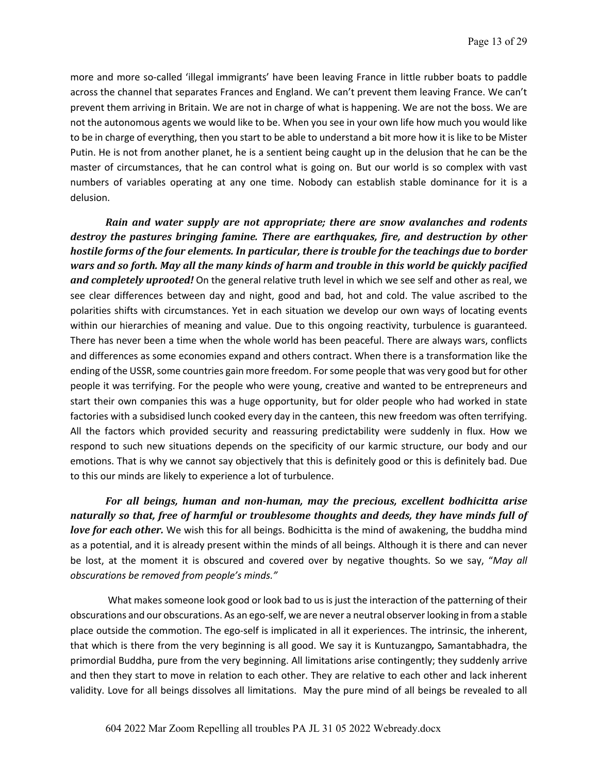more and more so-called 'illegal immigrants' have been leaving France in little rubber boats to paddle across the channel that separates Frances and England. We can't prevent them leaving France. We can't prevent them arriving in Britain. We are not in charge of what is happening. We are not the boss. We are not the autonomous agents we would like to be. When you see in your own life how much you would like to be in charge of everything, then you start to be able to understand a bit more how it is like to be Mister Putin. He is not from another planet, he is a sentient being caught up in the delusion that he can be the master of circumstances, that he can control what is going on. But our world is so complex with vast numbers of variables operating at any one time. Nobody can establish stable dominance for it is a delusion.

*Rain and water supply are not appropriate; there are snow avalanches and rodents destroy the pastures bringing famine. There are earthquakes, fire, and destruction by other hostile forms of the four elements. In particular, there is trouble for the teachings due to border* wars and so forth. May all the many kinds of harm and trouble in this world be quickly pacified *and completely uprooted!* On the general relative truth level in which we see self and other as real, we see clear differences between day and night, good and bad, hot and cold. The value ascribed to the polarities shifts with circumstances. Yet in each situation we develop our own ways of locating events within our hierarchies of meaning and value. Due to this ongoing reactivity, turbulence is guaranteed. There has never been a time when the whole world has been peaceful. There are always wars, conflicts and differences as some economies expand and others contract. When there is a transformation like the ending of the USSR, some countries gain more freedom. For some people that was very good but for other people it was terrifying. For the people who were young, creative and wanted to be entrepreneurs and start their own companies this was a huge opportunity, but for older people who had worked in state factories with a subsidised lunch cooked every day in the canteen, this new freedom was often terrifying. All the factors which provided security and reassuring predictability were suddenly in flux. How we respond to such new situations depends on the specificity of our karmic structure, our body and our emotions. That is why we cannot say objectively that this is definitely good or this is definitely bad. Due to this our minds are likely to experience a lot of turbulence.

For all beings, human and non-human, may the precious, excellent bodhicitta arise naturally so that, free of harmful or troublesome thoughts and deeds, they have minds full of *love for each other.* We wish this for all beings. Bodhicitta is the mind of awakening, the buddha mind as a potential, and it is already present within the minds of all beings. Although it is there and can never be lost, at the moment it is obscured and covered over by negative thoughts. So we say, "*May all obscurations be removed from people's minds."*

What makes someone look good or look bad to us is just the interaction of the patterning of their obscurations and our obscurations. As an ego-self, we are never a neutral observerlooking in from a stable place outside the commotion. The ego-self is implicated in all it experiences. The intrinsic, the inherent, that which is there from the very beginning is all good. We say it is Kuntuzangpo, Samantabhadra, the primordial Buddha, pure from the very beginning. All limitations arise contingently; they suddenly arrive and then they start to move in relation to each other. They are relative to each other and lack inherent validity. Love for all beings dissolves all limitations. May the pure mind of all beings be revealed to all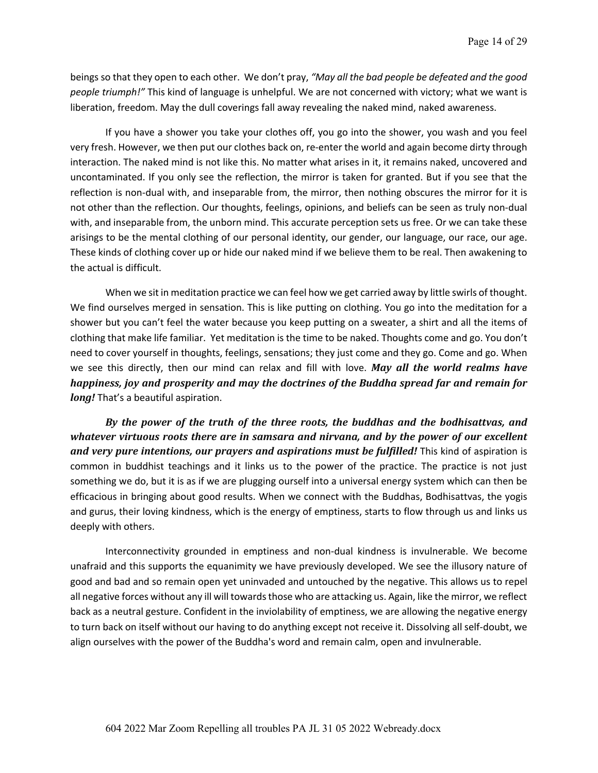beings so that they open to each other. We don't pray, *"May all the bad people be defeated and the good people triumph!"* This kind of language is unhelpful. We are not concerned with victory; what we want is liberation, freedom. May the dull coverings fall away revealing the naked mind, naked awareness.

If you have a shower you take your clothes off, you go into the shower, you wash and you feel very fresh. However, we then put our clothes back on, re-enter the world and again become dirty through interaction. The naked mind is not like this. No matter what arises in it, it remains naked, uncovered and uncontaminated. If you only see the reflection, the mirror is taken for granted. But if you see that the reflection is non-dual with, and inseparable from, the mirror, then nothing obscures the mirror for it is not other than the reflection. Our thoughts, feelings, opinions, and beliefs can be seen as truly non-dual with, and inseparable from, the unborn mind. This accurate perception sets us free. Or we can take these arisings to be the mental clothing of our personal identity, our gender, our language, our race, our age. These kinds of clothing cover up or hide our naked mind if we believe them to be real. Then awakening to the actual is difficult.

When we sit in meditation practice we can feel how we get carried away by little swirls of thought. We find ourselves merged in sensation. This is like putting on clothing. You go into the meditation for a shower but you can't feel the water because you keep putting on a sweater, a shirt and all the items of clothing that make life familiar. Yet meditation is the time to be naked. Thoughts come and go. You don't need to cover yourself in thoughts, feelings, sensations; they just come and they go. Come and go. When we see this directly, then our mind can relax and fill with love. May all the world realms have *happiness, joy and prosperity and may the doctrines of the Buddha spread far and remain for long!* That's a beautiful aspiration.

By the power of the truth of the three roots, the buddhas and the bodhisattvas, and whatever virtuous roots there are in samsara and nirvana, and by the power of our excellent *and very pure intentions, our prayers and aspirations must be fulfilled!* This kind of aspiration is common in buddhist teachings and it links us to the power of the practice. The practice is not just something we do, but it is as if we are plugging ourself into a universal energy system which can then be efficacious in bringing about good results. When we connect with the Buddhas, Bodhisattvas, the yogis and gurus, their loving kindness, which is the energy of emptiness, starts to flow through us and links us deeply with others.

Interconnectivity grounded in emptiness and non-dual kindness is invulnerable. We become unafraid and this supports the equanimity we have previously developed. We see the illusory nature of good and bad and so remain open yet uninvaded and untouched by the negative. This allows us to repel all negative forces without any ill will towards those who are attacking us. Again, like the mirror, we reflect back as a neutral gesture. Confident in the inviolability of emptiness, we are allowing the negative energy to turn back on itself without our having to do anything except not receive it. Dissolving all self-doubt, we align ourselves with the power of the Buddha's word and remain calm, open and invulnerable.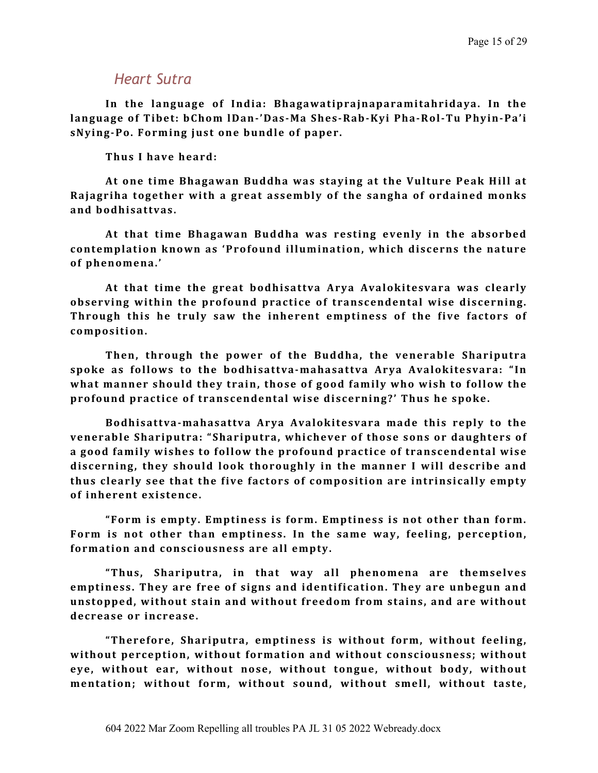### *Heart Sutra*

In the language of India: Bhagawatiprajnaparamitahridaya. In the language of Tibet: bChom lDan-'Das-Ma Shes-Rab-Kyi Pha-Rol-Tu Phyin-Pa'i sNying-Po. Forming just one bundle of paper.

Thus I have heard:

At one time Bhagawan Buddha was staying at the Vulture Peak Hill at **Rajagriha together with a great assembly of the sangha of ordained monks and bodhisattvas.** 

At that time Bhagawan Buddha was resting evenly in the absorbed contemplation known as 'Profound illumination, which discerns the nature of phenomena.'

At that time the great bodhisattva Arya Avalokitesvara was clearly observing within the profound practice of transcendental wise discerning. Through this he truly saw the inherent emptiness of the five factors of **composition.** 

Then, through the power of the Buddha, the venerable Shariputra spoke as follows to the bodhisattva-mahasattva Arya Avalokitesvara: "In what manner should they train, those of good family who wish to follow the profound practice of transcendental wise discerning?' Thus he spoke.

**Bodhisattva-mahasattva Arya Avalokitesvara made this reply to the**  venerable Shariputra: "Shariputra, whichever of those sons or daughters of a good family wishes to follow the profound practice of transcendental wise discerning, they should look thoroughly in the manner I will describe and thus clearly see that the five factors of composition are intrinsically empty of inherent existence.

**"Form is empty. Emptiness is form. Emptiness is not other than form.** Form is not other than emptiness. In the same way, feeling, perception, formation and consciousness are all empty.

**"Thus, Shariputra, in that way all phenomena are themselves emptiness.** They are free of signs and identification. They are unbegun and unstopped, without stain and without freedom from stains, and are without decrease or increase.

**"Therefore, Shariputra, emptiness is without form, without feeling,**  without perception, without formation and without consciousness; without eye, without ear, without nose, without tongue, without body, without mentation; without form, without sound, without smell, without taste,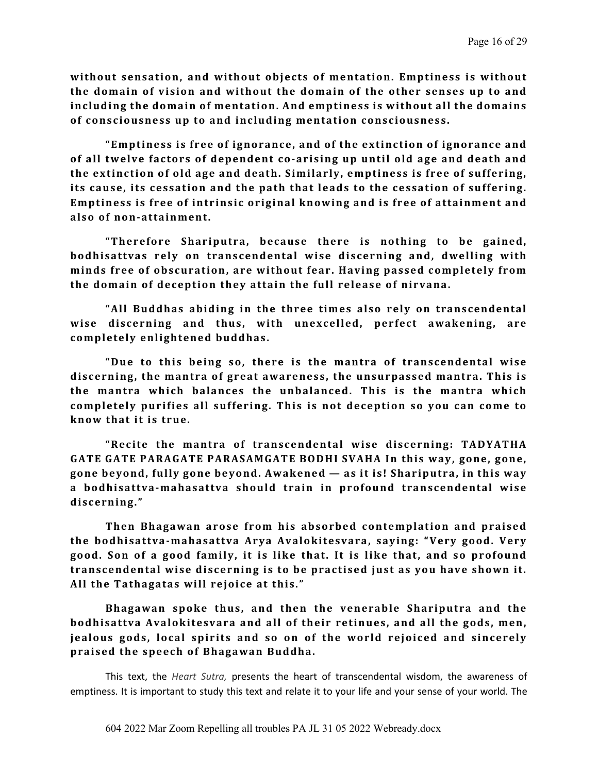without sensation, and without objects of mentation. Emptiness is without the domain of vision and without the domain of the other senses up to and **including the domain of mentation. And emptiness is without all the domains** of consciousness up to and including mentation consciousness.

**"Emptiness is free of ignorance, and of the extinction of ignorance and**  of all twelve factors of dependent co-arising up until old age and death and the extinction of old age and death. Similarly, emptiness is free of suffering, its cause, its cessation and the path that leads to the cessation of suffering. **Emptiness is free of intrinsic original knowing and is free of attainment and** also of non-attainment.

**"Therefore Shariputra, because there is nothing to be gained,**  bodhisattvas rely on transcendental wise discerning and, dwelling with minds free of obscuration, are without fear. Having passed completely from the domain of deception they attain the full release of nirvana.

**"All Buddhas abiding in the three times also rely on transcendental** wise discerning and thus, with unexcelled, perfect awakening, are completely enlightened buddhas.

"Due to this being so, there is the mantra of transcendental wise discerning, the mantra of great awareness, the unsurpassed mantra. This is the mantra which balances the unbalanced. This is the mantra which completely purifies all suffering. This is not deception so you can come to **know that it is true.** 

**"Recite the mantra of transcendental wise discerning: TADYATHA GATE** GATE PARAGATE PARASAMGATE BODHI SVAHA In this way, gone, gone, gone beyond, fully gone beyond. Awakened — as it is! Shariputra, in this way a bodhisattva-mahasattva should train in profound transcendental wise **discerning."** 

**Then Bhagawan arose from his absorbed contemplation and praised** the bodhisattva-mahasattva Arya Avalokitesvara, saying: "Very good. Very good. Son of a good family, it is like that. It is like that, and so profound transcendental wise discerning is to be practised just as you have shown it. All the Tathagatas will rejoice at this."

**Bhagawan spoke thus, and then the venerable Shariputra and the bodhisattva Avalokitesvara and all of their retinues, and all the gods, men, jealous gods, local spirits and so on of the world rejoiced and sincerely** praised the speech of Bhagawan Buddha.

This text, the *Heart Sutra,* presents the heart of transcendental wisdom, the awareness of emptiness. It is important to study this text and relate it to your life and your sense of your world. The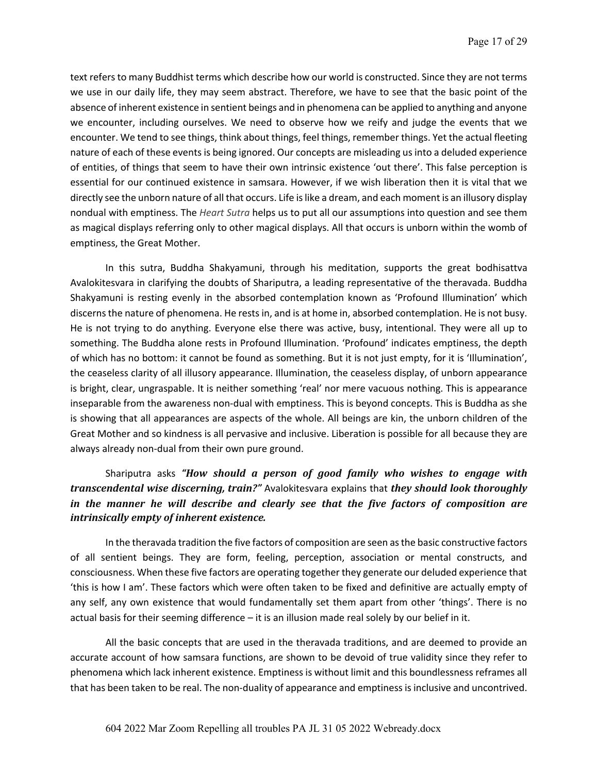text refers to many Buddhist terms which describe how our world is constructed. Since they are not terms we use in our daily life, they may seem abstract. Therefore, we have to see that the basic point of the absence of inherent existence in sentient beings and in phenomena can be applied to anything and anyone we encounter, including ourselves. We need to observe how we reify and judge the events that we encounter. We tend to see things, think about things, feel things, remember things. Yet the actual fleeting nature of each of these events is being ignored. Our concepts are misleading us into a deluded experience of entities, of things that seem to have their own intrinsic existence 'out there'. This false perception is essential for our continued existence in samsara. However, if we wish liberation then it is vital that we directly see the unborn nature of all that occurs. Life is like a dream, and each moment is an illusory display nondual with emptiness. The *Heart Sutra* helps us to put all our assumptions into question and see them as magical displays referring only to other magical displays. All that occurs is unborn within the womb of emptiness, the Great Mother.

In this sutra, Buddha Shakyamuni, through his meditation, supports the great bodhisattva Avalokitesvara in clarifying the doubts of Shariputra, a leading representative of the theravada. Buddha Shakyamuni is resting evenly in the absorbed contemplation known as 'Profound Illumination' which discerns the nature of phenomena. He rests in, and is at home in, absorbed contemplation. He is not busy. He is not trying to do anything. Everyone else there was active, busy, intentional. They were all up to something. The Buddha alone rests in Profound Illumination. 'Profound' indicates emptiness, the depth of which has no bottom: it cannot be found as something. But it is not just empty, for it is 'Illumination', the ceaseless clarity of all illusory appearance. Illumination, the ceaseless display, of unborn appearance is bright, clear, ungraspable. It is neither something 'real' nor mere vacuous nothing. This is appearance inseparable from the awareness non-dual with emptiness. This is beyond concepts. This is Buddha as she is showing that all appearances are aspects of the whole. All beings are kin, the unborn children of the Great Mother and so kindness is all pervasive and inclusive. Liberation is possible for all because they are always already non-dual from their own pure ground.

#### Shariputra asks "How should a person of good family who wishes to engage with *transcendental wise discerning, train?"* Avalokitesvara explains that *they should look thoroughly in* the manner he will describe and clearly see that the five factors of composition are *intrinsically empty of inherent existence.*

In the theravada tradition the five factors of composition are seen as the basic constructive factors of all sentient beings. They are form, feeling, perception, association or mental constructs, and consciousness. When these five factors are operating together they generate our deluded experience that 'this is how I am'. These factors which were often taken to be fixed and definitive are actually empty of any self, any own existence that would fundamentally set them apart from other 'things'. There is no actual basis for their seeming difference – it is an illusion made real solely by our belief in it.

All the basic concepts that are used in the theravada traditions, and are deemed to provide an accurate account of how samsara functions, are shown to be devoid of true validity since they refer to phenomena which lack inherent existence. Emptiness is without limit and this boundlessness reframes all that has been taken to be real. The non-duality of appearance and emptinessis inclusive and uncontrived.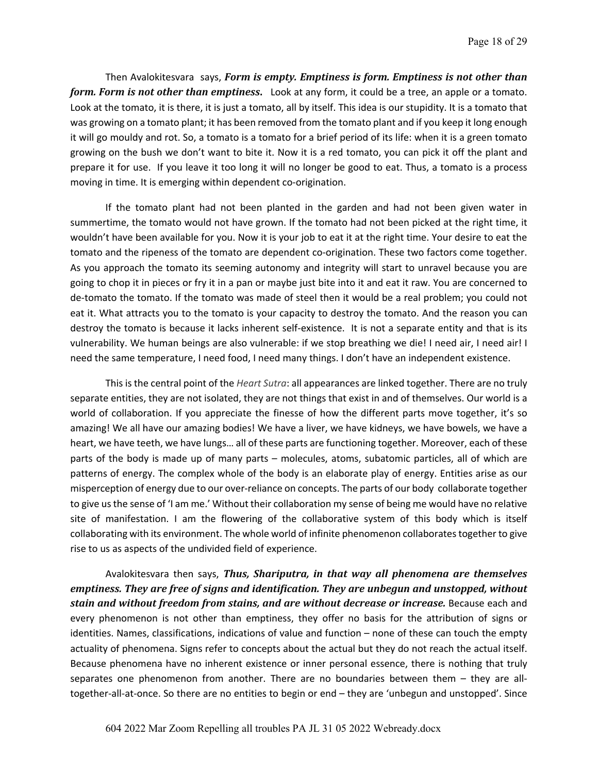Then Avalokitesvara says, *Form is empty. Emptiness is form. Emptiness is not other than form. Form is not other than emptiness.* Look at any form, it could be a tree, an apple or a tomato. Look at the tomato, it is there, it is just a tomato, all by itself. This idea is our stupidity. It is a tomato that was growing on a tomato plant; it has been removed from the tomato plant and if you keep it long enough it will go mouldy and rot. So, a tomato is a tomato for a brief period of its life: when it is a green tomato growing on the bush we don't want to bite it. Now it is a red tomato, you can pick it off the plant and prepare it for use. If you leave it too long it will no longer be good to eat. Thus, a tomato is a process moving in time. It is emerging within dependent co-origination.

If the tomato plant had not been planted in the garden and had not been given water in summertime, the tomato would not have grown. If the tomato had not been picked at the right time, it wouldn't have been available for you. Now it is your job to eat it at the right time. Your desire to eat the tomato and the ripeness of the tomato are dependent co-origination. These two factors come together. As you approach the tomato its seeming autonomy and integrity will start to unravel because you are going to chop it in pieces or fry it in a pan or maybe just bite into it and eat it raw. You are concerned to de-tomato the tomato. If the tomato was made of steel then it would be a real problem; you could not eat it. What attracts you to the tomato is your capacity to destroy the tomato. And the reason you can destroy the tomato is because it lacks inherent self-existence. It is not a separate entity and that is its vulnerability. We human beings are also vulnerable: if we stop breathing we die! I need air, I need air! I need the same temperature, I need food, I need many things. I don't have an independent existence.

This is the central point of the *Heart Sutra*: all appearances are linked together. There are no truly separate entities, they are not isolated, they are not things that exist in and of themselves. Our world is a world of collaboration. If you appreciate the finesse of how the different parts move together, it's so amazing! We all have our amazing bodies! We have a liver, we have kidneys, we have bowels, we have a heart, we have teeth, we have lungs… all of these parts are functioning together. Moreover, each of these parts of the body is made up of many parts – molecules, atoms, subatomic particles, all of which are patterns of energy. The complex whole of the body is an elaborate play of energy. Entities arise as our misperception of energy due to our over-reliance on concepts. The parts of our body collaborate together to give us the sense of 'I am me.' Without their collaboration my sense of being me would have no relative site of manifestation. I am the flowering of the collaborative system of this body which is itself collaborating with its environment. The whole world of infinite phenomenon collaborates together to give rise to us as aspects of the undivided field of experience.

Avalokitesvara then says, *Thus, Shariputra, in that way all phenomena are themselves emptiness. They are free of signs and identification. They are unbegun and unstopped, without* **stain and without freedom from stains, and are without decrease or increase.** Because each and every phenomenon is not other than emptiness, they offer no basis for the attribution of signs or identities. Names, classifications, indications of value and function – none of these can touch the empty actuality of phenomena. Signs refer to concepts about the actual but they do not reach the actual itself. Because phenomena have no inherent existence or inner personal essence, there is nothing that truly separates one phenomenon from another. There are no boundaries between them – they are alltogether-all-at-once. So there are no entities to begin or end – they are 'unbegun and unstopped'. Since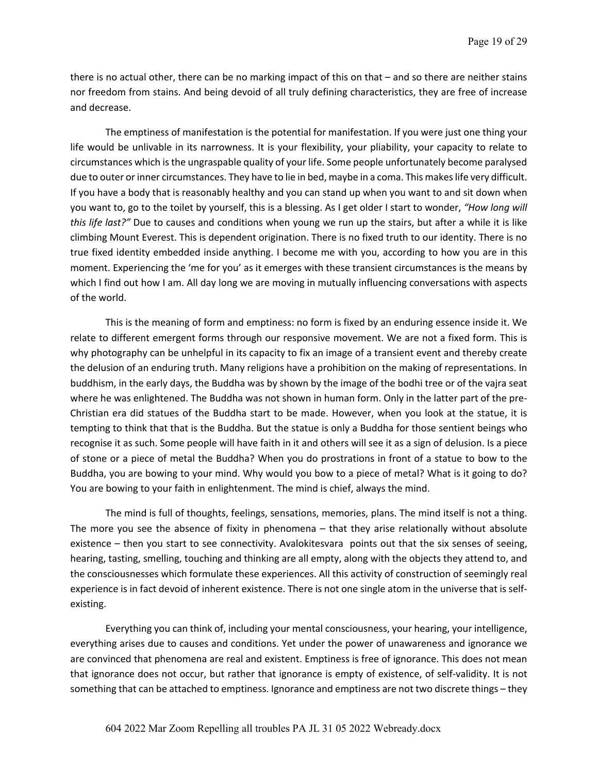there is no actual other, there can be no marking impact of this on that – and so there are neither stains nor freedom from stains. And being devoid of all truly defining characteristics, they are free of increase and decrease.

The emptiness of manifestation is the potential for manifestation. If you were just one thing your life would be unlivable in its narrowness. It is your flexibility, your pliability, your capacity to relate to circumstances which is the ungraspable quality of your life. Some people unfortunately become paralysed due to outer or inner circumstances. They have to lie in bed, maybe in a coma. This makes life very difficult. If you have a body that is reasonably healthy and you can stand up when you want to and sit down when you want to, go to the toilet by yourself, this is a blessing. As I get older I start to wonder, *"How long will this life last?"* Due to causes and conditions when young we run up the stairs, but after a while it is like climbing Mount Everest. This is dependent origination. There is no fixed truth to our identity. There is no true fixed identity embedded inside anything. I become me with you, according to how you are in this moment. Experiencing the 'me for you' as it emerges with these transient circumstances is the means by which I find out how I am. All day long we are moving in mutually influencing conversations with aspects of the world.

This is the meaning of form and emptiness: no form is fixed by an enduring essence inside it. We relate to different emergent forms through our responsive movement. We are not a fixed form. This is why photography can be unhelpful in its capacity to fix an image of a transient event and thereby create the delusion of an enduring truth. Many religions have a prohibition on the making of representations. In buddhism, in the early days, the Buddha was by shown by the image of the bodhi tree or of the vajra seat where he was enlightened. The Buddha was not shown in human form. Only in the latter part of the pre-Christian era did statues of the Buddha start to be made. However, when you look at the statue, it is tempting to think that that is the Buddha. But the statue is only a Buddha for those sentient beings who recognise it as such. Some people will have faith in it and others will see it as a sign of delusion. Is a piece of stone or a piece of metal the Buddha? When you do prostrations in front of a statue to bow to the Buddha, you are bowing to your mind. Why would you bow to a piece of metal? What is it going to do? You are bowing to your faith in enlightenment. The mind is chief, always the mind.

The mind is full of thoughts, feelings, sensations, memories, plans. The mind itself is not a thing. The more you see the absence of fixity in phenomena – that they arise relationally without absolute existence – then you start to see connectivity. Avalokitesvara points out that the six senses of seeing, hearing, tasting, smelling, touching and thinking are all empty, along with the objects they attend to, and the consciousnesses which formulate these experiences. All this activity of construction of seemingly real experience is in fact devoid of inherent existence. There is not one single atom in the universe that is selfexisting.

Everything you can think of, including your mental consciousness, your hearing, your intelligence, everything arises due to causes and conditions. Yet under the power of unawareness and ignorance we are convinced that phenomena are real and existent. Emptiness is free of ignorance. This does not mean that ignorance does not occur, but rather that ignorance is empty of existence, of self-validity. It is not something that can be attached to emptiness. Ignorance and emptiness are not two discrete things – they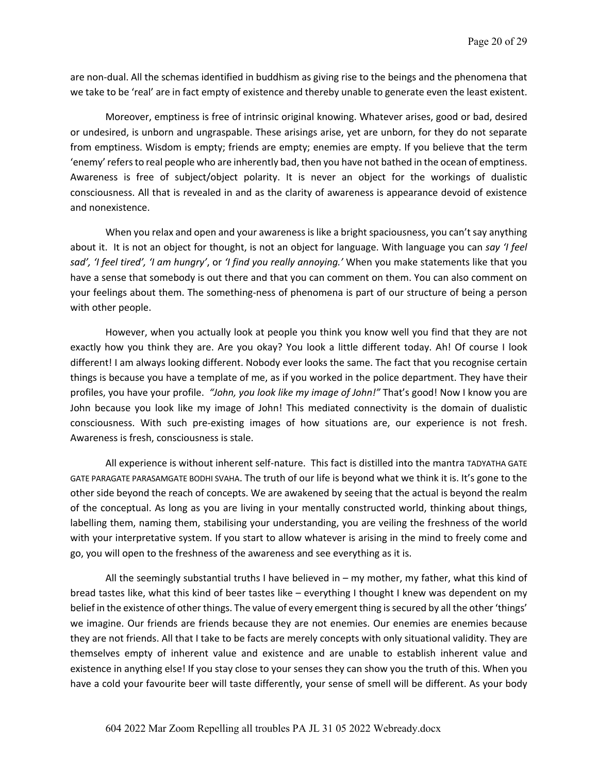are non-dual. All the schemas identified in buddhism as giving rise to the beings and the phenomena that we take to be 'real' are in fact empty of existence and thereby unable to generate even the least existent.

Moreover, emptiness is free of intrinsic original knowing. Whatever arises, good or bad, desired or undesired, is unborn and ungraspable. These arisings arise, yet are unborn, for they do not separate from emptiness. Wisdom is empty; friends are empty; enemies are empty. If you believe that the term 'enemy' refers to real people who are inherently bad, then you have not bathed in the ocean of emptiness. Awareness is free of subject/object polarity. It is never an object for the workings of dualistic consciousness. All that is revealed in and as the clarity of awareness is appearance devoid of existence and nonexistence.

When you relax and open and your awareness is like a bright spaciousness, you can't say anything about it. It is not an object for thought, is not an object for language. With language you can *say 'I feel sad', 'I feel tired', 'I am hungry'*, or *'I find you really annoying.'* When you make statements like that you have a sense that somebody is out there and that you can comment on them. You can also comment on your feelings about them. The something-ness of phenomena is part of our structure of being a person with other people.

However, when you actually look at people you think you know well you find that they are not exactly how you think they are. Are you okay? You look a little different today. Ah! Of course I look different! I am always looking different. Nobody ever looks the same. The fact that you recognise certain things is because you have a template of me, as if you worked in the police department. They have their profiles, you have your profile. *"John, you look like my image of John!"* That's good! Now I know you are John because you look like my image of John! This mediated connectivity is the domain of dualistic consciousness. With such pre-existing images of how situations are, our experience is not fresh. Awareness is fresh, consciousness is stale.

All experience is without inherent self-nature. This fact is distilled into the mantra TADYATHA GATE GATE PARAGATE PARASAMGATE BODHI SVAHA. The truth of our life is beyond what we think it is. It's gone to the other side beyond the reach of concepts. We are awakened by seeing that the actual is beyond the realm of the conceptual. As long as you are living in your mentally constructed world, thinking about things, labelling them, naming them, stabilising your understanding, you are veiling the freshness of the world with your interpretative system. If you start to allow whatever is arising in the mind to freely come and go, you will open to the freshness of the awareness and see everything as it is.

All the seemingly substantial truths I have believed in – my mother, my father, what this kind of bread tastes like, what this kind of beer tastes like – everything I thought I knew was dependent on my belief in the existence of other things. The value of every emergent thing is secured by all the other 'things' we imagine. Our friends are friends because they are not enemies. Our enemies are enemies because they are not friends. All that I take to be facts are merely concepts with only situational validity. They are themselves empty of inherent value and existence and are unable to establish inherent value and existence in anything else! If you stay close to your senses they can show you the truth of this. When you have a cold your favourite beer will taste differently, your sense of smell will be different. As your body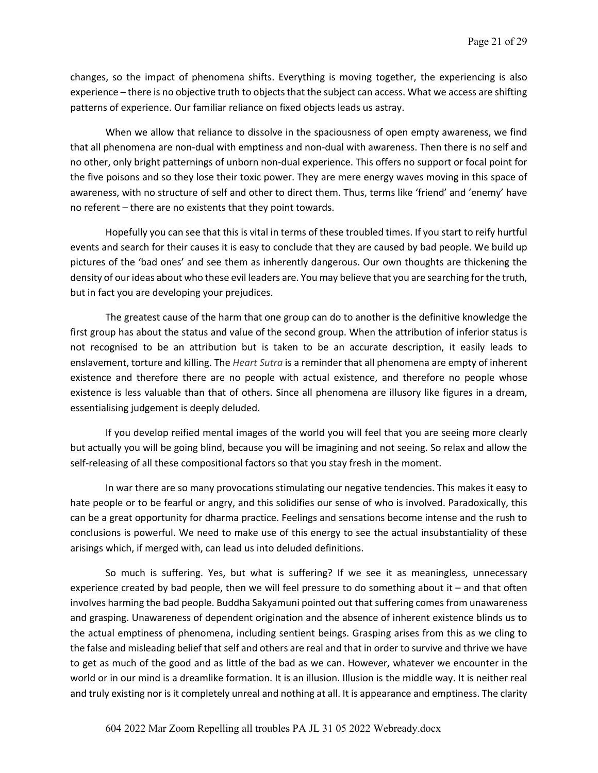changes, so the impact of phenomena shifts. Everything is moving together, the experiencing is also experience – there is no objective truth to objects that the subject can access. What we access are shifting patterns of experience. Our familiar reliance on fixed objects leads us astray.

When we allow that reliance to dissolve in the spaciousness of open empty awareness, we find that all phenomena are non-dual with emptiness and non-dual with awareness. Then there is no self and no other, only bright patternings of unborn non-dual experience. This offers no support or focal point for the five poisons and so they lose their toxic power. They are mere energy waves moving in this space of awareness, with no structure of self and other to direct them. Thus, terms like 'friend' and 'enemy' have no referent – there are no existents that they point towards.

Hopefully you can see that this is vital in terms of these troubled times. If you start to reify hurtful events and search for their causes it is easy to conclude that they are caused by bad people. We build up pictures of the 'bad ones' and see them as inherently dangerous. Our own thoughts are thickening the density of our ideas about who these evil leaders are. You may believe that you are searching for the truth, but in fact you are developing your prejudices.

The greatest cause of the harm that one group can do to another is the definitive knowledge the first group has about the status and value of the second group. When the attribution of inferior status is not recognised to be an attribution but is taken to be an accurate description, it easily leads to enslavement, torture and killing. The *Heart Sutra* is a reminder that all phenomena are empty of inherent existence and therefore there are no people with actual existence, and therefore no people whose existence is less valuable than that of others. Since all phenomena are illusory like figures in a dream, essentialising judgement is deeply deluded.

If you develop reified mental images of the world you will feel that you are seeing more clearly but actually you will be going blind, because you will be imagining and not seeing. So relax and allow the self-releasing of all these compositional factors so that you stay fresh in the moment.

In war there are so many provocations stimulating our negative tendencies. This makes it easy to hate people or to be fearful or angry, and this solidifies our sense of who is involved. Paradoxically, this can be a great opportunity for dharma practice. Feelings and sensations become intense and the rush to conclusions is powerful. We need to make use of this energy to see the actual insubstantiality of these arisings which, if merged with, can lead us into deluded definitions.

So much is suffering. Yes, but what is suffering? If we see it as meaningless, unnecessary experience created by bad people, then we will feel pressure to do something about it – and that often involves harming the bad people. Buddha Sakyamuni pointed out that suffering comes from unawareness and grasping. Unawareness of dependent origination and the absence of inherent existence blinds us to the actual emptiness of phenomena, including sentient beings. Grasping arises from this as we cling to the false and misleading belief that self and others are real and that in order to survive and thrive we have to get as much of the good and as little of the bad as we can. However, whatever we encounter in the world or in our mind is a dreamlike formation. It is an illusion. Illusion is the middle way. It is neither real and truly existing nor is it completely unreal and nothing at all. It is appearance and emptiness. The clarity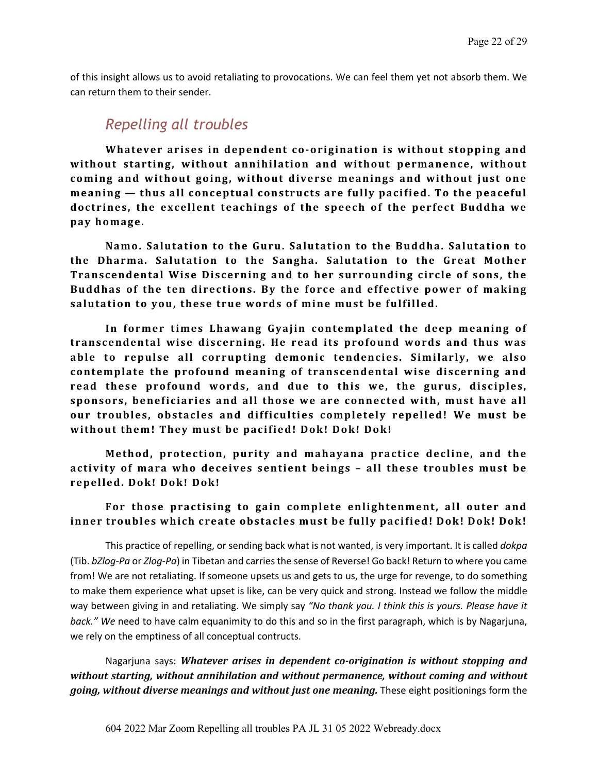of this insight allows us to avoid retaliating to provocations. We can feel them yet not absorb them. We can return them to their sender.

#### *Repelling all troubles*

Whatever arises in dependent co-origination is without stopping and without starting, without annihilation and without permanence, without coming and without going, without diverse meanings and without just one **meaning** — thus all conceptual constructs are fully pacified. To the peaceful doctrines, the excellent teachings of the speech of the perfect Buddha we **pay homage.** 

Namo. Salutation to the Guru. Salutation to the Buddha. Salutation to **the Dharma. Salutation to the Sangha. Salutation to the Great Mother Transcendental Wise Discerning and to her surrounding circle of sons, the** Buddhas of the ten directions. By the force and effective power of making salutation to you, these true words of mine must be fulfilled.

In former times Lhawang Gyajin contemplated the deep meaning of transcendental wise discerning. He read its profound words and thus was able to repulse all corrupting demonic tendencies. Similarly, we also contemplate the profound meaning of transcendental wise discerning and read these profound words, and due to this we, the gurus, disciples, sponsors, beneficiaries and all those we are connected with, must have all our troubles, obstacles and difficulties completely repelled! We must be without them! They must be pacified! Dok! Dok! Dok!

**Method, protection, purity and mahayana practice decline, and the activity of mara who deceives sentient beings – all these troubles must be repelled. Dok! Dok! Dok!** 

#### For those practising to gain complete enlightenment, all outer and inner troubles which create obstacles must be fully pacified! Dok! Dok! Dok!

This practice of repelling, or sending back what is not wanted, is very important. It is called *dokpa* (Tib. *bZlog-Pa* or *Zlog-Pa*) in Tibetan and carries the sense of Reverse! Go back! Return to where you came from! We are not retaliating. If someone upsets us and gets to us, the urge for revenge, to do something to make them experience what upset is like, can be very quick and strong. Instead we follow the middle way between giving in and retaliating. We simply say *"No thank you. I think this is yours. Please have it back." We* need to have calm equanimity to do this and so in the first paragraph, which is by Nagarjuna, we rely on the emptiness of all conceptual contructs.

Nagarjuna says: *Whatever arises in dependent co-origination is without stopping and* without starting, without annihilation and without permanence, without coming and without *going, without diverse meanings and without just one meaning.* These eight positionings form the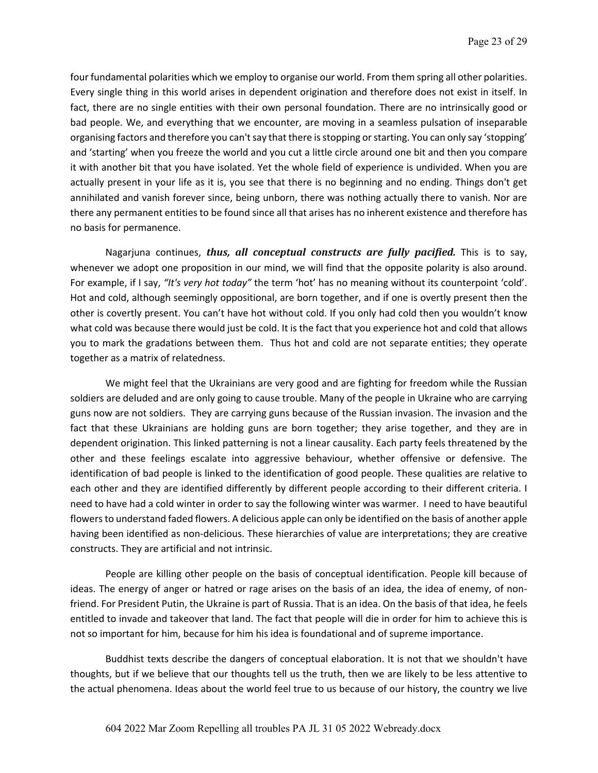four fundamental polarities which we employ to organise our world. From them spring all other polarities. Every single thing in this world arises in dependent origination and therefore does not exist in itself. In fact, there are no single entities with their own personal foundation. There are no intrinsically good or bad people. We, and everything that we encounter, are moving in a seamless pulsation of inseparable organising factors and therefore you can't say that there is stopping or starting. You can only say 'stopping' and 'starting' when you freeze the world and you cut a little circle around one bit and then you compare it with another bit that you have isolated. Yet the whole field of experience is undivided. When you are actually present in your life as it is, you see that there is no beginning and no ending. Things don't get annihilated and vanish forever since, being unborn, there was nothing actually there to vanish. Nor are there any permanent entities to be found since all that arises has no inherent existence and therefore has no basis for permanence.

Nagarjuna continues, *thus, all conceptual constructs are fully pacified*. This is to say, whenever we adopt one proposition in our mind, we will find that the opposite polarity is also around. For example, if I say, *"It's very hot today"* the term 'hot' has no meaning without its counterpoint 'cold'. Hot and cold, although seemingly oppositional, are born together, and if one is overtly present then the other is covertly present. You can't have hot without cold. If you only had cold then you wouldn't know what cold was because there would just be cold. It is the fact that you experience hot and cold that allows you to mark the gradations between them. Thus hot and cold are not separate entities; they operate together as a matrix of relatedness.

We might feel that the Ukrainians are very good and are fighting for freedom while the Russian soldiers are deluded and are only going to cause trouble. Many of the people in Ukraine who are carrying guns now are not soldiers. They are carrying guns because of the Russian invasion. The invasion and the fact that these Ukrainians are holding guns are born together; they arise together, and they are in dependent origination. This linked patterning is not a linear causality. Each party feels threatened by the other and these feelings escalate into aggressive behaviour, whether offensive or defensive. The identification of bad people is linked to the identification of good people. These qualities are relative to each other and they are identified differently by different people according to their different criteria. I need to have had a cold winter in order to say the following winter was warmer. I need to have beautiful flowers to understand faded flowers. A delicious apple can only be identified on the basis of another apple having been identified as non-delicious. These hierarchies of value are interpretations; they are creative constructs. They are artificial and not intrinsic.

People are killing other people on the basis of conceptual identification. People kill because of ideas. The energy of anger or hatred or rage arises on the basis of an idea, the idea of enemy, of nonfriend. For President Putin, the Ukraine is part of Russia. That is an idea. On the basis of that idea, he feels entitled to invade and takeover that land. The fact that people will die in order for him to achieve this is not so important for him, because for him his idea is foundational and of supreme importance.

Buddhist texts describe the dangers of conceptual elaboration. It is not that we shouldn't have thoughts, but if we believe that our thoughts tell us the truth, then we are likely to be less attentive to the actual phenomena. Ideas about the world feel true to us because of our history, the country we live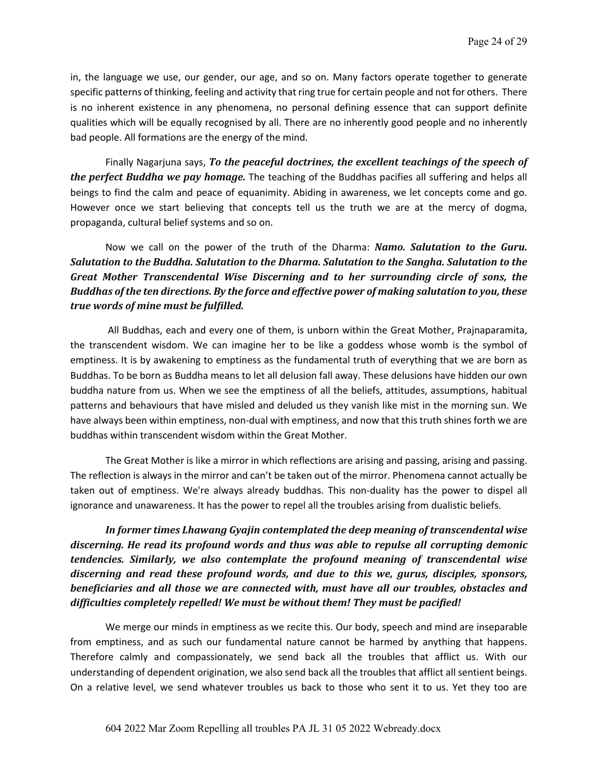in, the language we use, our gender, our age, and so on. Many factors operate together to generate specific patterns of thinking, feeling and activity that ring true for certain people and not for others. There is no inherent existence in any phenomena, no personal defining essence that can support definite qualities which will be equally recognised by all. There are no inherently good people and no inherently bad people. All formations are the energy of the mind.

Finally Nagarjuna says, To the peaceful doctrines, the excellent teachings of the speech of *the perfect Buddha we pay homage.* The teaching of the Buddhas pacifies all suffering and helps all beings to find the calm and peace of equanimity. Abiding in awareness, we let concepts come and go. However once we start believing that concepts tell us the truth we are at the mercy of dogma, propaganda, cultural belief systems and so on.

Now we call on the power of the truth of the Dharma: *Namo. Salutation to the Guru. Salutation to the Buddha. Salutation to the Dharma. Salutation to the Sangha. Salutation to the* Great Mother Transcendental Wise Discerning and to her surrounding circle of sons, the *Buddhas of the ten directions. By the force and effective power of making salutation to you, these true* words of mine must be fulfilled.

All Buddhas, each and every one of them, is unborn within the Great Mother, Prajnaparamita, the transcendent wisdom. We can imagine her to be like a goddess whose womb is the symbol of emptiness. It is by awakening to emptiness as the fundamental truth of everything that we are born as Buddhas. To be born as Buddha means to let all delusion fall away. These delusions have hidden our own buddha nature from us. When we see the emptiness of all the beliefs, attitudes, assumptions, habitual patterns and behaviours that have misled and deluded us they vanish like mist in the morning sun. We have always been within emptiness, non-dual with emptiness, and now that this truth shines forth we are buddhas within transcendent wisdom within the Great Mother.

The Great Mother is like a mirror in which reflections are arising and passing, arising and passing. The reflection is always in the mirror and can't be taken out of the mirror. Phenomena cannot actually be taken out of emptiness. We're always already buddhas. This non-duality has the power to dispel all ignorance and unawareness. It has the power to repel all the troubles arising from dualistic beliefs.

In former times Lhawang Gyajin contemplated the deep meaning of transcendental wise discerning. He read its profound words and thus was able to repulse all corrupting demonic *tendencies. Similarly, we also contemplate the profound meaning of transcendental wise* discerning and read these profound words, and due to this we, gurus, disciples, sponsors, *beneficiaries and all those we are connected with, must have all our troubles, obstacles and* difficulties completely repelled! We must be without them! They must be pacified!

We merge our minds in emptiness as we recite this. Our body, speech and mind are inseparable from emptiness, and as such our fundamental nature cannot be harmed by anything that happens. Therefore calmly and compassionately, we send back all the troubles that afflict us. With our understanding of dependent origination, we also send back all the troubles that afflict all sentient beings. On a relative level, we send whatever troubles us back to those who sent it to us. Yet they too are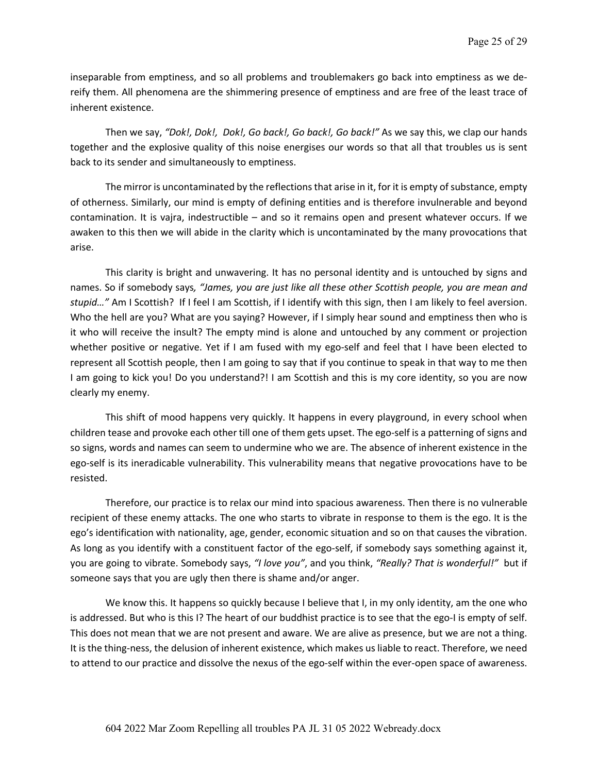inseparable from emptiness, and so all problems and troublemakers go back into emptiness as we dereify them. All phenomena are the shimmering presence of emptiness and are free of the least trace of inherent existence.

Then we say, *"Dok!, Dok!, Dok!, Go back!, Go back!, Go back!"* As we say this, we clap our hands together and the explosive quality of this noise energises our words so that all that troubles us is sent back to its sender and simultaneously to emptiness.

The mirror is uncontaminated by the reflections that arise in it, for it is empty of substance, empty of otherness. Similarly, our mind is empty of defining entities and is therefore invulnerable and beyond contamination. It is vajra, indestructible – and so it remains open and present whatever occurs. If we awaken to this then we will abide in the clarity which is uncontaminated by the many provocations that arise.

This clarity is bright and unwavering. It has no personal identity and is untouched by signs and names. So if somebody says*, "James, you are just like all these other Scottish people, you are mean and stupid…"* Am I Scottish? If I feel I am Scottish, if I identify with this sign, then I am likely to feel aversion. Who the hell are you? What are you saying? However, if I simply hear sound and emptiness then who is it who will receive the insult? The empty mind is alone and untouched by any comment or projection whether positive or negative. Yet if I am fused with my ego-self and feel that I have been elected to represent all Scottish people, then I am going to say that if you continue to speak in that way to me then I am going to kick you! Do you understand?! I am Scottish and this is my core identity, so you are now clearly my enemy.

This shift of mood happens very quickly. It happens in every playground, in every school when children tease and provoke each other till one of them gets upset. The ego-self is a patterning of signs and so signs, words and names can seem to undermine who we are. The absence of inherent existence in the ego-self is its ineradicable vulnerability. This vulnerability means that negative provocations have to be resisted.

Therefore, our practice is to relax our mind into spacious awareness. Then there is no vulnerable recipient of these enemy attacks. The one who starts to vibrate in response to them is the ego. It is the ego's identification with nationality, age, gender, economic situation and so on that causes the vibration. As long as you identify with a constituent factor of the ego-self, if somebody says something against it, you are going to vibrate. Somebody says, *"I love you"*, and you think, *"Really? That is wonderful!"* but if someone says that you are ugly then there is shame and/or anger.

We know this. It happens so quickly because I believe that I, in my only identity, am the one who is addressed. But who is this I? The heart of our buddhist practice is to see that the ego-I is empty of self. This does not mean that we are not present and aware. We are alive as presence, but we are not a thing. It is the thing-ness, the delusion of inherent existence, which makes us liable to react. Therefore, we need to attend to our practice and dissolve the nexus of the ego-self within the ever-open space of awareness.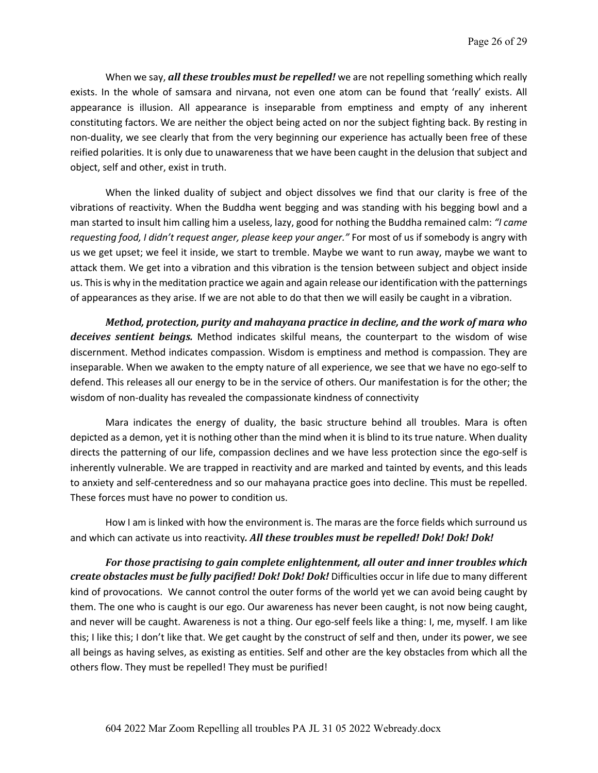When we say, *all these troubles must be repelled!* we are not repelling something which really exists. In the whole of samsara and nirvana, not even one atom can be found that 'really' exists. All appearance is illusion. All appearance is inseparable from emptiness and empty of any inherent constituting factors. We are neither the object being acted on nor the subject fighting back. By resting in non-duality, we see clearly that from the very beginning our experience has actually been free of these reified polarities. It is only due to unawareness that we have been caught in the delusion that subject and object, self and other, exist in truth.

When the linked duality of subject and object dissolves we find that our clarity is free of the vibrations of reactivity. When the Buddha went begging and was standing with his begging bowl and a man started to insult him calling him a useless, lazy, good for nothing the Buddha remained calm: *"I came requesting food, I didn't request anger, please keep your anger."* For most of us if somebody is angry with us we get upset; we feel it inside, we start to tremble. Maybe we want to run away, maybe we want to attack them. We get into a vibration and this vibration is the tension between subject and object inside us. Thisis why in the meditation practice we again and again release our identification with the patternings of appearances as they arise. If we are not able to do that then we will easily be caught in a vibration.

*Method, protection, purity and mahayana practice in decline, and the work of mara who*  deceives sentient beings. Method indicates skilful means, the counterpart to the wisdom of wise discernment. Method indicates compassion. Wisdom is emptiness and method is compassion. They are inseparable. When we awaken to the empty nature of all experience, we see that we have no ego-self to defend. This releases all our energy to be in the service of others. Our manifestation is for the other; the wisdom of non-duality has revealed the compassionate kindness of connectivity

Mara indicates the energy of duality, the basic structure behind all troubles. Mara is often depicted as a demon, yet it is nothing other than the mind when it is blind to its true nature. When duality directs the patterning of our life, compassion declines and we have less protection since the ego-self is inherently vulnerable. We are trapped in reactivity and are marked and tainted by events, and this leads to anxiety and self-centeredness and so our mahayana practice goes into decline. This must be repelled. These forces must have no power to condition us.

How I am is linked with how the environment is. The maras are the force fields which surround us and which can activate us into reactivity. All these troubles must be repelled! Dok! Dok! Dok!

For those practising to gain complete enlightenment, all outer and inner troubles which *create obstacles must be fully pacified! Dok! Dok! Dok! Difficulties occur in life due to many different* kind of provocations. We cannot control the outer forms of the world yet we can avoid being caught by them. The one who is caught is our ego. Our awareness has never been caught, is not now being caught, and never will be caught. Awareness is not a thing. Our ego-self feels like a thing: I, me, myself. I am like this; I like this; I don't like that. We get caught by the construct of self and then, under its power, we see all beings as having selves, as existing as entities. Self and other are the key obstacles from which all the others flow. They must be repelled! They must be purified!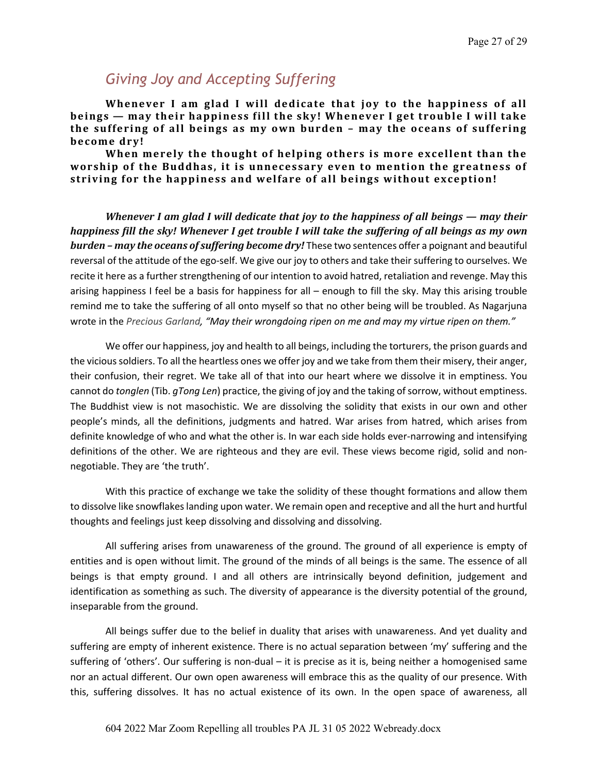# *Giving Joy and Accepting Suffering*

Whenever I am glad I will dedicate that joy to the happiness of all **beings** — may their happiness fill the sky! Whenever I get trouble I will take the suffering of all beings as my own burden - may the oceans of suffering become dry!

When merely the thought of helping others is more excellent than the worship of the Buddhas, it is unnecessary even to mention the greatness of striving for the happiness and welfare of all beings without exception!

*Whenever I am glad I will dedicate that joy to the happiness of all beings — may their happiness fill the sky! Whenever I get trouble I will take the suffering of all beings as my own burden* – may the oceans of suffering become dry! These two sentences offer a poignant and beautiful reversal of the attitude of the ego-self. We give our joy to others and take their suffering to ourselves. We recite it here as a further strengthening of our intention to avoid hatred, retaliation and revenge. May this arising happiness I feel be a basis for happiness for all – enough to fill the sky. May this arising trouble remind me to take the suffering of all onto myself so that no other being will be troubled. As Nagarjuna wrote in the *Precious Garland, "May their wrongdoing ripen on me and may my virtue ripen on them."*

We offer our happiness, joy and health to all beings, including the torturers, the prison guards and the vicious soldiers. To all the heartless ones we offer joy and we take from them their misery, their anger, their confusion, their regret. We take all of that into our heart where we dissolve it in emptiness. You cannot do *tonglen* (Tib. *gTong Len*) practice, the giving of joy and the taking of sorrow, without emptiness. The Buddhist view is not masochistic. We are dissolving the solidity that exists in our own and other people's minds, all the definitions, judgments and hatred. War arises from hatred, which arises from definite knowledge of who and what the other is. In war each side holds ever-narrowing and intensifying definitions of the other. We are righteous and they are evil. These views become rigid, solid and nonnegotiable. They are 'the truth'.

With this practice of exchange we take the solidity of these thought formations and allow them to dissolve like snowflakeslanding upon water. We remain open and receptive and all the hurt and hurtful thoughts and feelings just keep dissolving and dissolving and dissolving.

All suffering arises from unawareness of the ground. The ground of all experience is empty of entities and is open without limit. The ground of the minds of all beings is the same. The essence of all beings is that empty ground. I and all others are intrinsically beyond definition, judgement and identification as something as such. The diversity of appearance is the diversity potential of the ground, inseparable from the ground.

All beings suffer due to the belief in duality that arises with unawareness. And yet duality and suffering are empty of inherent existence. There is no actual separation between 'my' suffering and the suffering of 'others'. Our suffering is non-dual – it is precise as it is, being neither a homogenised same nor an actual different. Our own open awareness will embrace this as the quality of our presence. With this, suffering dissolves. It has no actual existence of its own. In the open space of awareness, all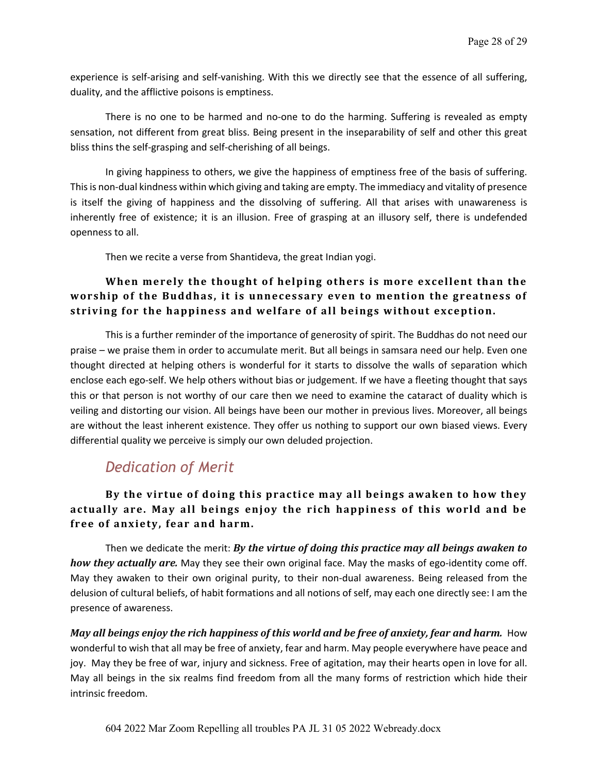experience is self-arising and self-vanishing. With this we directly see that the essence of all suffering, duality, and the afflictive poisons is emptiness.

There is no one to be harmed and no-one to do the harming. Suffering is revealed as empty sensation, not different from great bliss. Being present in the inseparability of self and other this great bliss thins the self-grasping and self-cherishing of all beings.

In giving happiness to others, we give the happiness of emptiness free of the basis of suffering. This is non-dual kindness within which giving and taking are empty. The immediacy and vitality of presence is itself the giving of happiness and the dissolving of suffering. All that arises with unawareness is inherently free of existence; it is an illusion. Free of grasping at an illusory self, there is undefended openness to all.

Then we recite a verse from Shantideva, the great Indian yogi.

#### When merely the thought of helping others is more excellent than the worship of the Buddhas, it is unnecessary even to mention the greatness of striving for the happiness and welfare of all beings without exception.

This is a further reminder of the importance of generosity of spirit. The Buddhas do not need our praise – we praise them in order to accumulate merit. But all beings in samsara need our help. Even one thought directed at helping others is wonderful for it starts to dissolve the walls of separation which enclose each ego-self. We help others without bias or judgement. If we have a fleeting thought that says this or that person is not worthy of our care then we need to examine the cataract of duality which is veiling and distorting our vision. All beings have been our mother in previous lives. Moreover, all beings are without the least inherent existence. They offer us nothing to support our own biased views. Every differential quality we perceive is simply our own deluded projection.

# *Dedication of Merit*

#### By the virtue of doing this practice may all beings awaken to how they actually are. May all beings enjoy the rich happiness of this world and be free of anxiety, fear and harm.

Then we dedicate the merit: *By the virtue of doing this practice may all beings awaken to how they actually are.* May they see their own original face. May the masks of ego-identity come off. May they awaken to their own original purity, to their non-dual awareness. Being released from the delusion of cultural beliefs, of habit formations and all notions of self, may each one directly see: I am the presence of awareness.

*May all beings enjoy the rich happiness of this world and be free of anxiety, fear and harm.* How wonderful to wish that all may be free of anxiety, fear and harm. May people everywhere have peace and joy. May they be free of war, injury and sickness. Free of agitation, may their hearts open in love for all. May all beings in the six realms find freedom from all the many forms of restriction which hide their intrinsic freedom.